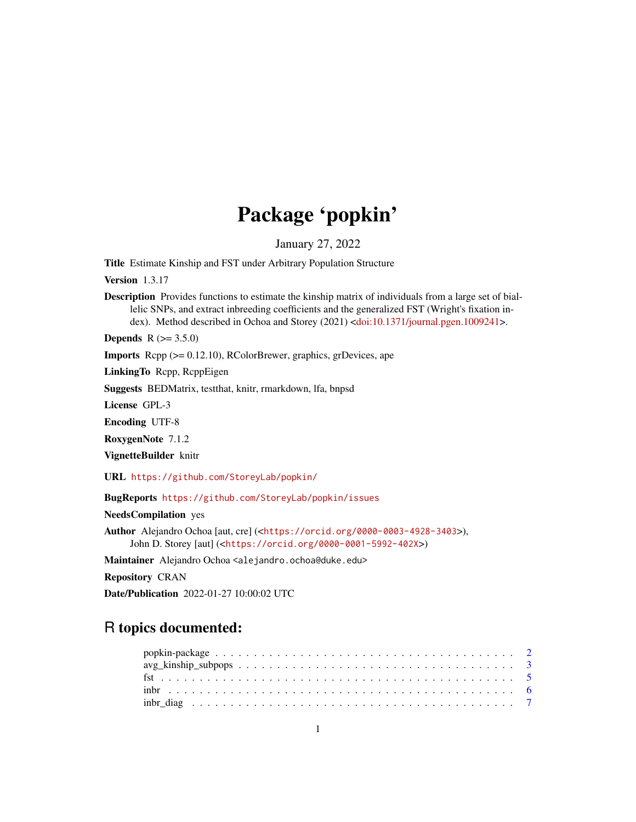# Package 'popkin'

January 27, 2022

<span id="page-0-0"></span>Title Estimate Kinship and FST under Arbitrary Population Structure

Version 1.3.17

Description Provides functions to estimate the kinship matrix of individuals from a large set of biallelic SNPs, and extract inbreeding coefficients and the generalized FST (Wright's fixation index). Method described in Ochoa and Storey (2021) [<doi:10.1371/journal.pgen.1009241>](https://doi.org/10.1371/journal.pgen.1009241).

**Depends**  $R (= 3.5.0)$ 

Imports Rcpp (>= 0.12.10), RColorBrewer, graphics, grDevices, ape

LinkingTo Rcpp, RcppEigen

Suggests BEDMatrix, testthat, knitr, rmarkdown, lfa, bnpsd

License GPL-3

Encoding UTF-8

RoxygenNote 7.1.2

VignetteBuilder knitr

URL <https://github.com/StoreyLab/popkin/>

BugReports <https://github.com/StoreyLab/popkin/issues>

NeedsCompilation yes

Author Alejandro Ochoa [aut, cre] (<<https://orcid.org/0000-0003-4928-3403>>), John D. Storey [aut] (<<https://orcid.org/0000-0001-5992-402X>>)

Maintainer Alejandro Ochoa <alejandro.ochoa@duke.edu>

Repository CRAN

Date/Publication 2022-01-27 10:00:02 UTC

# R topics documented: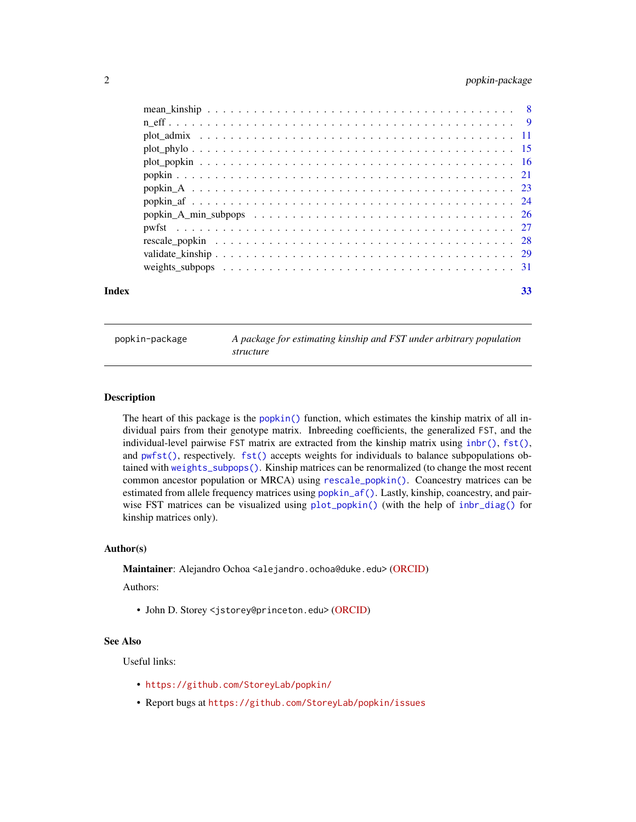# <span id="page-1-0"></span>2 popkin-package

| Index | 33 |
|-------|----|

popkin-package *A package for estimating kinship and FST under arbitrary population structure*

# Description

The heart of this package is the [popkin\(\)](#page-20-1) function, which estimates the kinship matrix of all individual pairs from their genotype matrix. Inbreeding coefficients, the generalized FST, and the individual-level pairwise FST matrix are extracted from the kinship matrix using  $inbr()$ ,  $fst()$ , and [pwfst\(\)](#page-26-1), respectively. [fst\(\)](#page-4-1) accepts weights for individuals to balance subpopulations obtained with [weights\\_subpops\(\)](#page-30-1). Kinship matrices can be renormalized (to change the most recent common ancestor population or MRCA) using [rescale\\_popkin\(\)](#page-27-1). Coancestry matrices can be estimated from allele frequency matrices using [popkin\\_af\(\)](#page-23-1). Lastly, kinship, coancestry, and pairwise FST matrices can be visualized using [plot\\_popkin\(\)](#page-15-1) (with the help of [inbr\\_diag\(\)](#page-6-1) for kinship matrices only).

# Author(s)

Maintainer: Alejandro Ochoa <alejandro.ochoa@duke.edu> [\(ORCID\)](https://orcid.org/0000-0003-4928-3403)

Authors:

• John D. Storey <jstorey@princeton.edu> [\(ORCID\)](https://orcid.org/0000-0001-5992-402X)

# See Also

Useful links:

- <https://github.com/StoreyLab/popkin/>
- Report bugs at <https://github.com/StoreyLab/popkin/issues>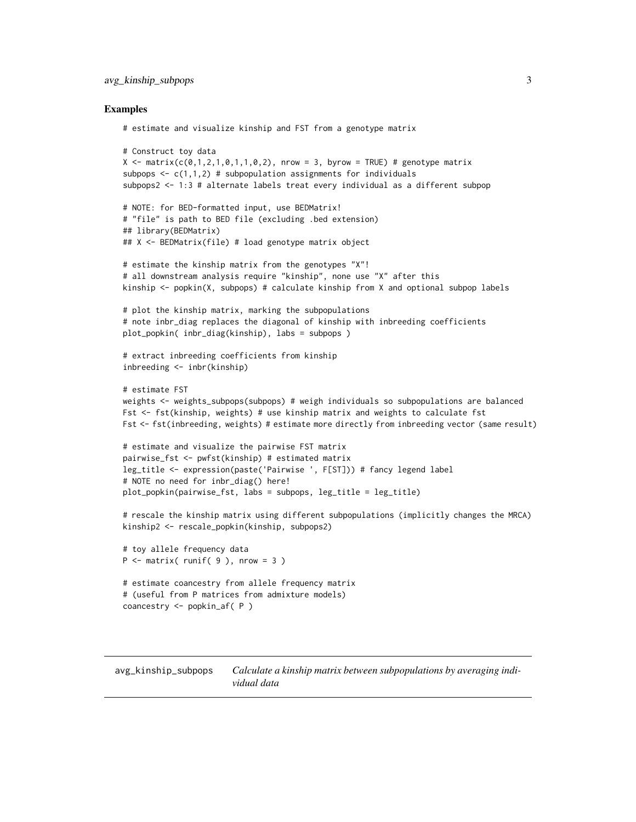# <span id="page-2-0"></span>avg\_kinship\_subpops 3

# Examples

```
# estimate and visualize kinship and FST from a genotype matrix
# Construct toy data
X \leq - matrix(c(0,1,2,1,0,1,1,0,2), nrow = 3, byrow = TRUE) # genotype matrix
subpops \leq c(1,1,2) # subpopulation assignments for individuals
subpops2 <- 1:3 # alternate labels treat every individual as a different subpop
# NOTE: for BED-formatted input, use BEDMatrix!
# "file" is path to BED file (excluding .bed extension)
## library(BEDMatrix)
## X <- BEDMatrix(file) # load genotype matrix object
# estimate the kinship matrix from the genotypes "X"!
# all downstream analysis require "kinship", none use "X" after this
kinship <- popkin(X, subpops) # calculate kinship from X and optional subpop labels
# plot the kinship matrix, marking the subpopulations
# note inbr_diag replaces the diagonal of kinship with inbreeding coefficients
plot_popkin( inbr_diag(kinship), labs = subpops )
# extract inbreeding coefficients from kinship
inbreeding <- inbr(kinship)
# estimate FST
weights <- weights_subpops(subpops) # weigh individuals so subpopulations are balanced
Fst <- fst(kinship, weights) # use kinship matrix and weights to calculate fst
Fst <- fst(inbreeding, weights) # estimate more directly from inbreeding vector (same result)
# estimate and visualize the pairwise FST matrix
pairwise_fst <- pwfst(kinship) # estimated matrix
leg_title <- expression(paste('Pairwise ', F[ST])) # fancy legend label
# NOTE no need for inbr_diag() here!
plot_popkin(pairwise_fst, labs = subpops, leg_title = leg_title)
# rescale the kinship matrix using different subpopulations (implicitly changes the MRCA)
kinship2 <- rescale_popkin(kinship, subpops2)
# toy allele frequency data
P \leq - matrix( runif( 9 ), nrow = 3 )
# estimate coancestry from allele frequency matrix
# (useful from P matrices from admixture models)
```

```
coancestry <- popkin_af( P )
```
<span id="page-2-1"></span>avg\_kinship\_subpops *Calculate a kinship matrix between subpopulations by averaging individual data*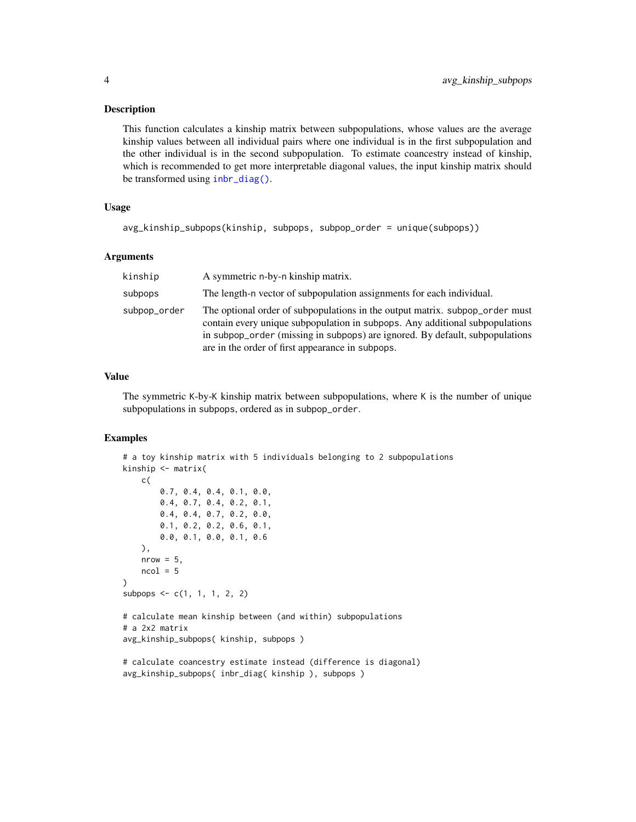#### <span id="page-3-0"></span>Description

This function calculates a kinship matrix between subpopulations, whose values are the average kinship values between all individual pairs where one individual is in the first subpopulation and the other individual is in the second subpopulation. To estimate coancestry instead of kinship, which is recommended to get more interpretable diagonal values, the input kinship matrix should be transformed using [inbr\\_diag\(\)](#page-6-1).

# Usage

```
avg_kinship_subpops(kinship, subpops, subpop_order = unique(subpops))
```
# Arguments

| kinship      | A symmetric n-by-n kinship matrix.                                                                                                                                                                                                                                                               |
|--------------|--------------------------------------------------------------------------------------------------------------------------------------------------------------------------------------------------------------------------------------------------------------------------------------------------|
| subpops      | The length-n vector of subpopulation assignments for each individual.                                                                                                                                                                                                                            |
| subpop_order | The optional order of subpopulations in the output matrix, subpop_order must<br>contain every unique subpopulation in subpops. Any additional subpopulations<br>in subpop_order (missing in subpops) are ignored. By default, subpopulations<br>are in the order of first appearance in subpops. |

# Value

The symmetric K-by-K kinship matrix between subpopulations, where K is the number of unique subpopulations in subpops, ordered as in subpop\_order.

```
# a toy kinship matrix with 5 individuals belonging to 2 subpopulations
kinship <- matrix(
   c(
        0.7, 0.4, 0.4, 0.1, 0.0,
        0.4, 0.7, 0.4, 0.2, 0.1,
        0.4, 0.4, 0.7, 0.2, 0.0,
        0.1, 0.2, 0.2, 0.6, 0.1,
        0.0, 0.1, 0.0, 0.1, 0.6
   ),
   nrow = 5,
   ncol = 5\mathcal{L}subpops \leq c(1, 1, 1, 2, 2)# calculate mean kinship between (and within) subpopulations
# a 2x2 matrix
avg_kinship_subpops( kinship, subpops )
# calculate coancestry estimate instead (difference is diagonal)
avg_kinship_subpops( inbr_diag( kinship ), subpops )
```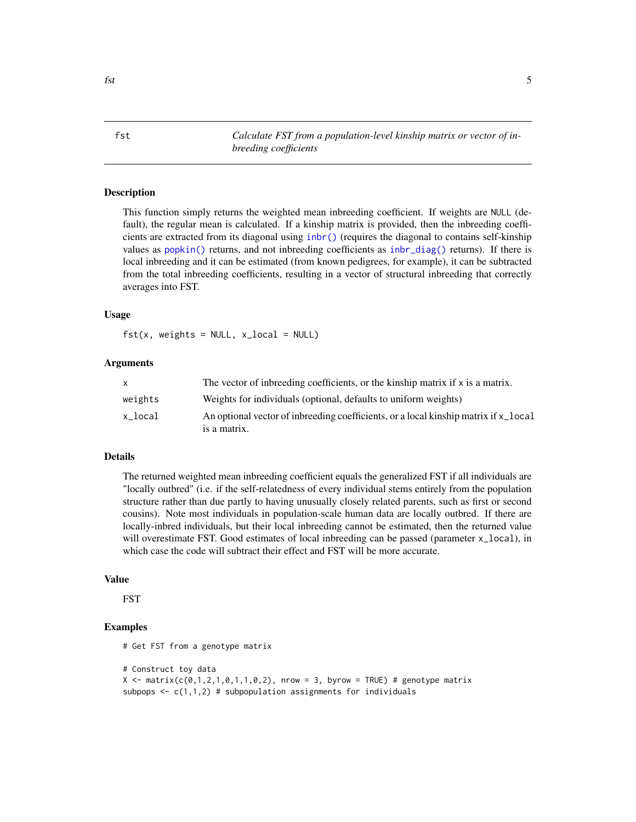<span id="page-4-1"></span><span id="page-4-0"></span>fst *Calculate FST from a population-level kinship matrix or vector of inbreeding coefficients*

# Description

This function simply returns the weighted mean inbreeding coefficient. If weights are NULL (default), the regular mean is calculated. If a kinship matrix is provided, then the inbreeding coefficients are extracted from its diagonal using [inbr\(\)](#page-5-1) (requires the diagonal to contains self-kinship values as [popkin\(\)](#page-20-1) returns, and not inbreeding coefficients as [inbr\\_diag\(\)](#page-6-1) returns). If there is local inbreeding and it can be estimated (from known pedigrees, for example), it can be subtracted from the total inbreeding coefficients, resulting in a vector of structural inbreeding that correctly averages into FST.

# Usage

 $fst(x, weights = NULL, x\_local = NULL)$ 

#### Arguments

| x       | The vector of inbreeding coefficients, or the kinship matrix if x is a matrix.      |
|---------|-------------------------------------------------------------------------------------|
| weights | Weights for individuals (optional, defaults to uniform weights)                     |
| x local | An optional vector of inbreeding coefficients, or a local kinship matrix if x_local |
|         | is a matrix.                                                                        |

# Details

The returned weighted mean inbreeding coefficient equals the generalized FST if all individuals are "locally outbred" (i.e. if the self-relatedness of every individual stems entirely from the population structure rather than due partly to having unusually closely related parents, such as first or second cousins). Note most individuals in population-scale human data are locally outbred. If there are locally-inbred individuals, but their local inbreeding cannot be estimated, then the returned value will overestimate FST. Good estimates of local inbreeding can be passed (parameter  $x$ <sup>1</sup>ocal), in which case the code will subtract their effect and FST will be more accurate.

#### Value

FST

```
# Get FST from a genotype matrix
# Construct toy data
X \leq matrix(c(0,1,2,1,0,1,1,0,2), nrow = 3, byrow = TRUE) # genotype matrix
subpops \leq c(1,1,2) # subpopulation assignments for individuals
```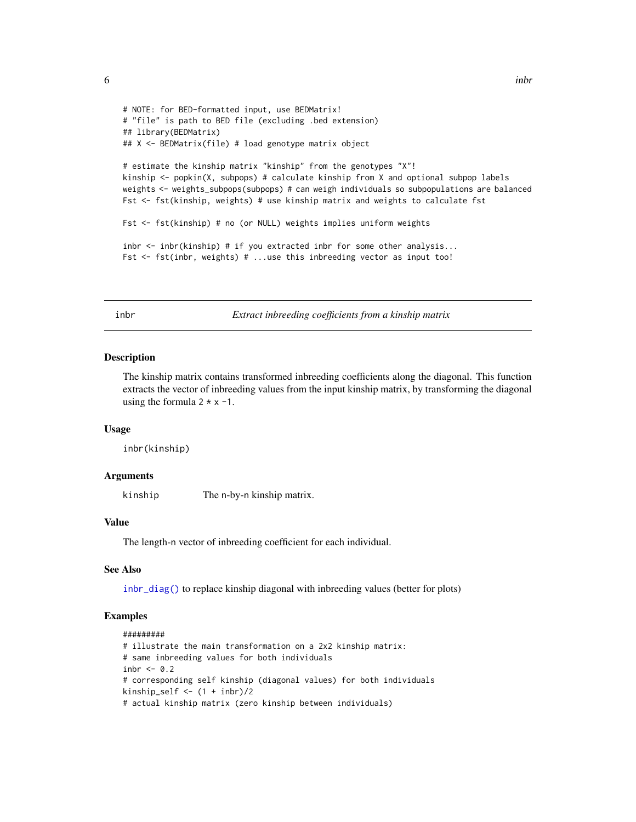```
# NOTE: for BED-formatted input, use BEDMatrix!
# "file" is path to BED file (excluding .bed extension)
## library(BEDMatrix)
## X <- BEDMatrix(file) # load genotype matrix object
# estimate the kinship matrix "kinship" from the genotypes "X"!
kinship <- popkin(X, subpops) # calculate kinship from X and optional subpop labels
weights <- weights_subpops(subpops) # can weigh individuals so subpopulations are balanced
Fst <- fst(kinship, weights) # use kinship matrix and weights to calculate fst
Fst <- fst(kinship) # no (or NULL) weights implies uniform weights
inbr <- inbr(kinship) # if you extracted inbr for some other analysis...
Fst <- fst(inbr, weights) # ...use this inbreeding vector as input too!
```
<span id="page-5-1"></span>inbr *Extract inbreeding coefficients from a kinship matrix*

#### Description

The kinship matrix contains transformed inbreeding coefficients along the diagonal. This function extracts the vector of inbreeding values from the input kinship matrix, by transforming the diagonal using the formula  $2 \times x -1$ .

#### Usage

inbr(kinship)

#### Arguments

kinship The n-by-n kinship matrix.

#### Value

The length-n vector of inbreeding coefficient for each individual.

# See Also

[inbr\\_diag\(\)](#page-6-1) to replace kinship diagonal with inbreeding values (better for plots)

```
#########
# illustrate the main transformation on a 2x2 kinship matrix:
# same inbreeding values for both individuals
inbr <- 0.2
# corresponding self kinship (diagonal values) for both individuals
kinship_self \leq (1 + inbr)/2
# actual kinship matrix (zero kinship between individuals)
```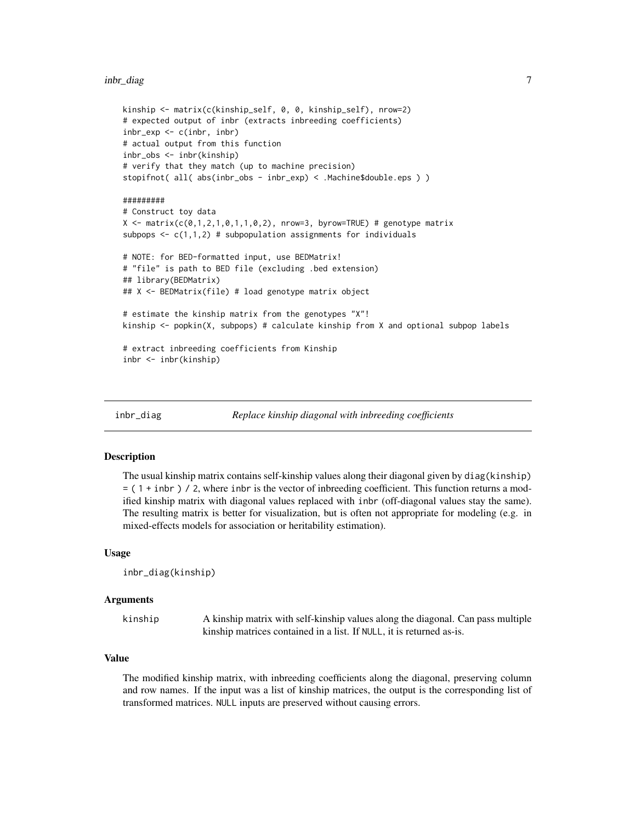#### <span id="page-6-0"></span>inbr\_diag 7

```
kinship <- matrix(c(kinship_self, 0, 0, kinship_self), nrow=2)
# expected output of inbr (extracts inbreeding coefficients)
inbr_exp <- c(inbr, inbr)
# actual output from this function
inbr_obs <- inbr(kinship)
# verify that they match (up to machine precision)
stopifnot( all( abs(inbr_obs - inbr_exp) < .Machine$double.eps ) )
#########
# Construct toy data
X \leq - matrix(c(0,1,2,1,0,1,1,0,2), nrow=3, byrow=TRUE) # genotype matrix
subpops \leq c(1,1,2) # subpopulation assignments for individuals
# NOTE: for BED-formatted input, use BEDMatrix!
# "file" is path to BED file (excluding .bed extension)
## library(BEDMatrix)
## X <- BEDMatrix(file) # load genotype matrix object
# estimate the kinship matrix from the genotypes "X"!
kinship <- popkin(X, subpops) # calculate kinship from X and optional subpop labels
# extract inbreeding coefficients from Kinship
inbr <- inbr(kinship)
```
<span id="page-6-1"></span>

```
inbr_diag Replace kinship diagonal with inbreeding coefficients
```
# Description

The usual kinship matrix contains self-kinship values along their diagonal given by diag(kinship) = ( 1 + inbr ) / 2, where inbr is the vector of inbreeding coefficient. This function returns a modified kinship matrix with diagonal values replaced with inbr (off-diagonal values stay the same). The resulting matrix is better for visualization, but is often not appropriate for modeling (e.g. in mixed-effects models for association or heritability estimation).

#### Usage

```
inbr_diag(kinship)
```
# Arguments

kinship A kinship matrix with self-kinship values along the diagonal. Can pass multiple kinship matrices contained in a list. If NULL, it is returned as-is.

# Value

The modified kinship matrix, with inbreeding coefficients along the diagonal, preserving column and row names. If the input was a list of kinship matrices, the output is the corresponding list of transformed matrices. NULL inputs are preserved without causing errors.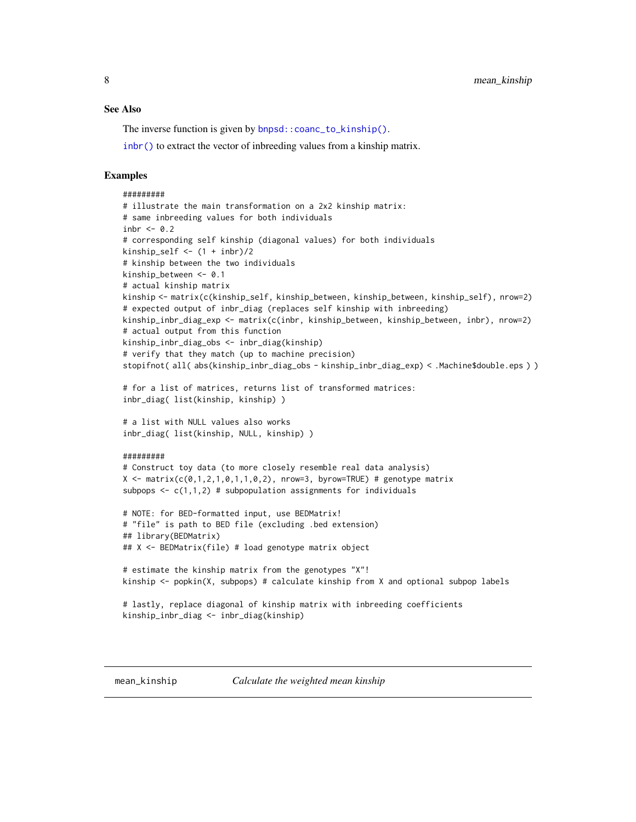#### <span id="page-7-0"></span>See Also

The inverse function is given by [bnpsd::coanc\\_to\\_kinship\(\)](#page-0-0).

[inbr\(\)](#page-5-1) to extract the vector of inbreeding values from a kinship matrix.

```
#########
# illustrate the main transformation on a 2x2 kinship matrix:
# same inbreeding values for both individuals
inbr <-0.2# corresponding self kinship (diagonal values) for both individuals
kinship_self \leftarrow (1 + inbr)/2
# kinship between the two individuals
kinship_between <- 0.1
# actual kinship matrix
kinship <- matrix(c(kinship_self, kinship_between, kinship_between, kinship_self), nrow=2)
# expected output of inbr_diag (replaces self kinship with inbreeding)
kinship_inbr_diag_exp <- matrix(c(inbr, kinship_between, kinship_between, inbr), nrow=2)
# actual output from this function
kinship_inbr_diag_obs <- inbr_diag(kinship)
# verify that they match (up to machine precision)
stopifnot( all( abs(kinship_inbr_diag_obs - kinship_inbr_diag_exp) < .Machine$double.eps ) )
# for a list of matrices, returns list of transformed matrices:
inbr_diag( list(kinship, kinship) )
# a list with NULL values also works
inbr_diag( list(kinship, NULL, kinship) )
#########
# Construct toy data (to more closely resemble real data analysis)
X \leq - matrix(c(0,1,2,1,0,1,1,0,2), nrow=3, byrow=TRUE) # genotype matrix
subpops \leq c(1,1,2) # subpopulation assignments for individuals
# NOTE: for BED-formatted input, use BEDMatrix!
# "file" is path to BED file (excluding .bed extension)
## library(BEDMatrix)
## X <- BEDMatrix(file) # load genotype matrix object
# estimate the kinship matrix from the genotypes "X"!
kinship <- popkin(X, subpops) # calculate kinship from X and optional subpop labels
# lastly, replace diagonal of kinship matrix with inbreeding coefficients
kinship_inbr_diag <- inbr_diag(kinship)
```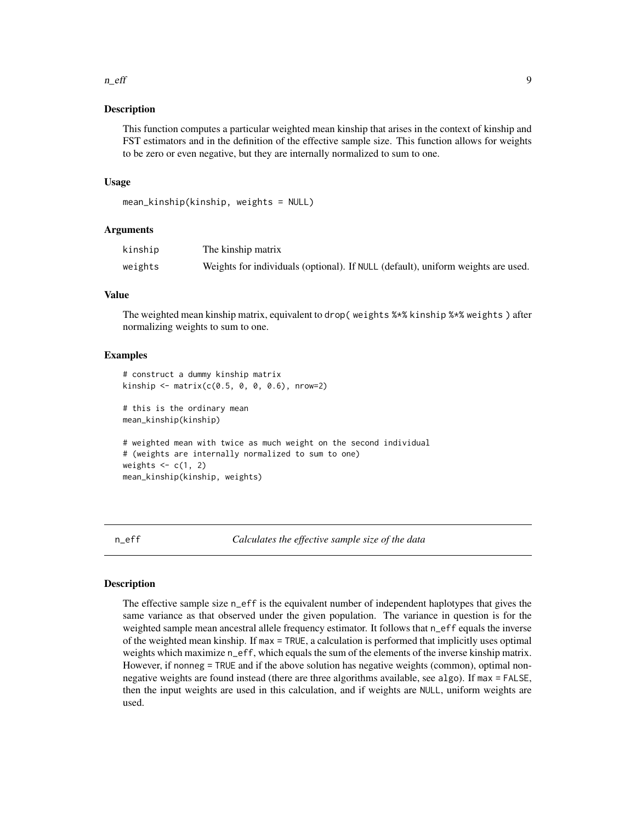#### <span id="page-8-0"></span>n\_eff 9

# Description

This function computes a particular weighted mean kinship that arises in the context of kinship and FST estimators and in the definition of the effective sample size. This function allows for weights to be zero or even negative, but they are internally normalized to sum to one.

# Usage

```
mean_kinship(kinship, weights = NULL)
```
# Arguments

| kinship | The kinship matrix                                                               |
|---------|----------------------------------------------------------------------------------|
| weights | Weights for individuals (optional). If NULL (default), uniform weights are used. |

# Value

The weighted mean kinship matrix, equivalent to drop( weights %\*% kinship %\*% weights ) after normalizing weights to sum to one.

#### Examples

```
# construct a dummy kinship matrix
kinship \leq matrix(c(0.5, 0, 0, 0.6), nrow=2)
# this is the ordinary mean
mean_kinship(kinship)
# weighted mean with twice as much weight on the second individual
# (weights are internally normalized to sum to one)
weights \leq -c(1, 2)mean_kinship(kinship, weights)
```
n\_eff *Calculates the effective sample size of the data*

# Description

The effective sample size n\_eff is the equivalent number of independent haplotypes that gives the same variance as that observed under the given population. The variance in question is for the weighted sample mean ancestral allele frequency estimator. It follows that n\_eff equals the inverse of the weighted mean kinship. If max = TRUE, a calculation is performed that implicitly uses optimal weights which maximize n\_eff, which equals the sum of the elements of the inverse kinship matrix. However, if nonneg = TRUE and if the above solution has negative weights (common), optimal nonnegative weights are found instead (there are three algorithms available, see algo). If max = FALSE, then the input weights are used in this calculation, and if weights are NULL, uniform weights are used.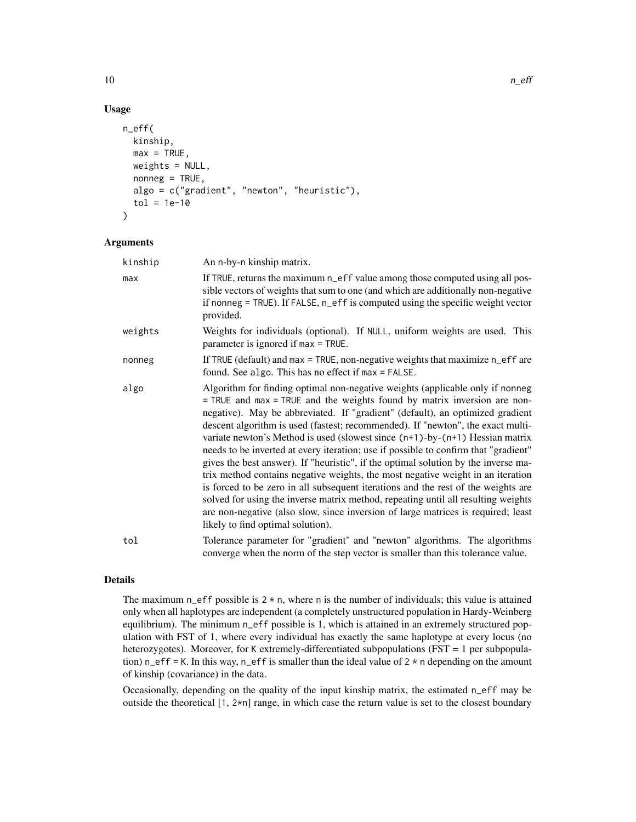# Usage

```
n_eff(
 kinship,
 max = TRUE,weights = NULL,
 nonneg = TRUE,algo = c("gradient", "newton", "heuristic"),
  tol = 1e-10)
```
# Arguments

| kinship | An n-by-n kinship matrix.                                                                                                                                                                                                                                                                                                                                                                                                                                                                                                                                                                                                                                                                                                                                                                                                                                                                                                                                                                 |
|---------|-------------------------------------------------------------------------------------------------------------------------------------------------------------------------------------------------------------------------------------------------------------------------------------------------------------------------------------------------------------------------------------------------------------------------------------------------------------------------------------------------------------------------------------------------------------------------------------------------------------------------------------------------------------------------------------------------------------------------------------------------------------------------------------------------------------------------------------------------------------------------------------------------------------------------------------------------------------------------------------------|
| max     | If TRUE, returns the maximum n_eff value among those computed using all pos-<br>sible vectors of weights that sum to one (and which are additionally non-negative<br>if nonneg = TRUE). If FALSE, n_eff is computed using the specific weight vector<br>provided.                                                                                                                                                                                                                                                                                                                                                                                                                                                                                                                                                                                                                                                                                                                         |
| weights | Weights for individuals (optional). If NULL, uniform weights are used. This<br>parameter is ignored if max = TRUE.                                                                                                                                                                                                                                                                                                                                                                                                                                                                                                                                                                                                                                                                                                                                                                                                                                                                        |
| nonneg  | If TRUE (default) and max = TRUE, non-negative weights that maximize $n_{\text{eff}}$ are<br>found. See algo. This has no effect if max = FALSE.                                                                                                                                                                                                                                                                                                                                                                                                                                                                                                                                                                                                                                                                                                                                                                                                                                          |
| algo    | Algorithm for finding optimal non-negative weights (applicable only if nonneg<br>= TRUE and max = TRUE and the weights found by matrix inversion are non-<br>negative). May be abbreviated. If "gradient" (default), an optimized gradient<br>descent algorithm is used (fastest; recommended). If "newton", the exact multi-<br>variate newton's Method is used (slowest since $(n+1)$ -by- $(n+1)$ ) Hessian matrix<br>needs to be inverted at every iteration; use if possible to confirm that "gradient"<br>gives the best answer). If "heuristic", if the optimal solution by the inverse ma-<br>trix method contains negative weights, the most negative weight in an iteration<br>is forced to be zero in all subsequent iterations and the rest of the weights are<br>solved for using the inverse matrix method, repeating until all resulting weights<br>are non-negative (also slow, since inversion of large matrices is required; least<br>likely to find optimal solution). |
| tol     | Tolerance parameter for "gradient" and "newton" algorithms. The algorithms<br>converge when the norm of the step vector is smaller than this tolerance value.                                                                                                                                                                                                                                                                                                                                                                                                                                                                                                                                                                                                                                                                                                                                                                                                                             |

#### Details

The maximum n\_eff possible is  $2 \times n$ , where n is the number of individuals; this value is attained only when all haplotypes are independent (a completely unstructured population in Hardy-Weinberg equilibrium). The minimum n\_eff possible is 1, which is attained in an extremely structured population with FST of 1, where every individual has exactly the same haplotype at every locus (no heterozygotes). Moreover, for K extremely-differentiated subpopulations (FST = 1 per subpopulation) n\_eff = K. In this way, n\_eff is smaller than the ideal value of  $2 \star n$  depending on the amount of kinship (covariance) in the data.

Occasionally, depending on the quality of the input kinship matrix, the estimated n\_eff may be outside the theoretical  $[1, 2\star n]$  range, in which case the return value is set to the closest boundary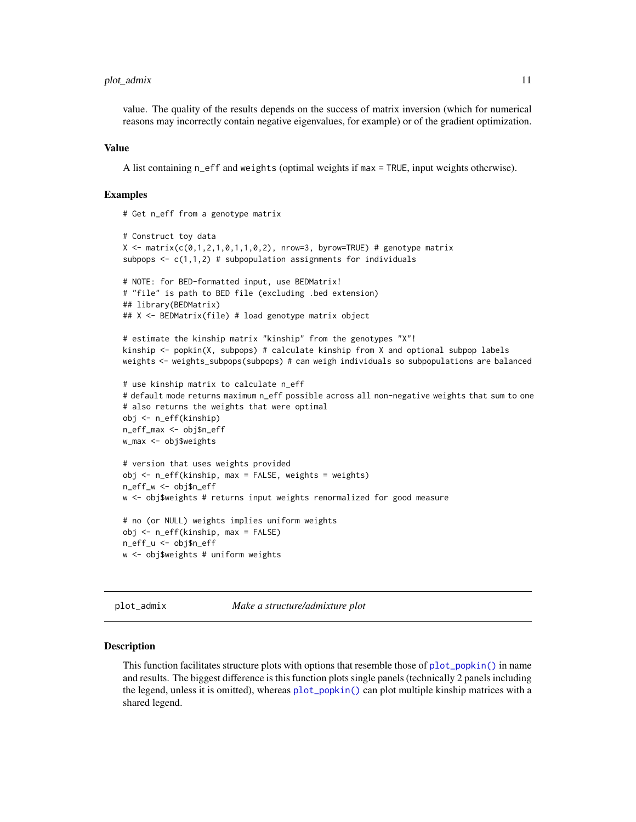# <span id="page-10-0"></span>plot\_admix 11

value. The quality of the results depends on the success of matrix inversion (which for numerical reasons may incorrectly contain negative eigenvalues, for example) or of the gradient optimization.

#### Value

A list containing n\_eff and weights (optimal weights if max = TRUE, input weights otherwise).

# Examples

```
# Get n_eff from a genotype matrix
# Construct toy data
X \leq - matrix(c(0,1,2,1,0,1,1,0,2), nrow=3, byrow=TRUE) # genotype matrix
subpops \leq c(1,1,2) # subpopulation assignments for individuals
# NOTE: for BED-formatted input, use BEDMatrix!
# "file" is path to BED file (excluding .bed extension)
## library(BEDMatrix)
## X <- BEDMatrix(file) # load genotype matrix object
# estimate the kinship matrix "kinship" from the genotypes "X"!
kinship <- popkin(X, subpops) # calculate kinship from X and optional subpop labels
weights <- weights_subpops(subpops) # can weigh individuals so subpopulations are balanced
# use kinship matrix to calculate n_eff
# default mode returns maximum n_eff possible across all non-negative weights that sum to one
# also returns the weights that were optimal
obj <- n_eff(kinship)
n_eff_max <- obj$n_eff
w_max <- obj$weights
```

```
# version that uses weights provided
obj <- n_eff(kinship, max = FALSE, weights = weights)
n_eff_w <- obj$n_eff
w <- obj$weights # returns input weights renormalized for good measure
# no (or NULL) weights implies uniform weights
obj <- n_eff(kinship, max = FALSE)
n_eff_u <- obj$n_eff
w <- obj$weights # uniform weights
```
plot\_admix *Make a structure/admixture plot*

#### Description

This function facilitates structure plots with options that resemble those of  $plot\_popkin()$  in name and results. The biggest difference is this function plots single panels (technically 2 panels including the legend, unless it is omitted), whereas [plot\\_popkin\(\)](#page-15-1) can plot multiple kinship matrices with a shared legend.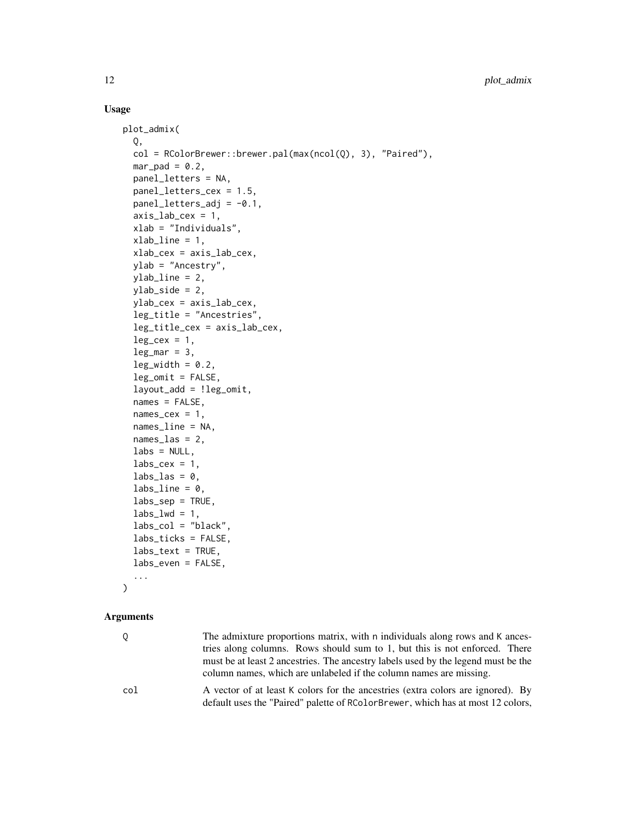# Usage

```
plot_admix(
  Q,
  col = RColorBrewer::brewer.pal(max(ncol(Q), 3), "Paired"),
  mar\_pad = 0.2,
  panel_letters = NA,
  panel_letters_cex = 1.5,
  panel\_letters\_adj = -0.1,
  axis\_lab\_cex = 1,
  xlab = "Individuals",
  xlab\_line = 1,
  xlab_cex = axis_lab_cex,
  ylab = "Ancestry",
  ylab_line = 2,
  ylab_side = 2,
  ylab_cex = axis_lab_cex,
  leg_title = "Ancestries",
  leg_title_cex = axis_lab_cex,
  leg\_cex = 1,
  leg\_mar = 3,
  leg\_width = 0.2,leg_omit = FALSE,
  layout_add = !leg_omit,
  names = FALSE,
  names\_cex = 1,
  names_line = NA,
  names_las = 2,
  \text{labels} = \text{NULL},
  \text{labs\_cex} = 1,
  \text{labs}\text{-}\text{las} = \emptyset,
  labs_line = 0,
  labs\_sep = TRUE,\text{labs\_lwd} = 1,
  labs_col = "black",
  labs_ticks = FALSE,
  \text{labs}\text{-text} = TRUE,
  labs_even = FALSE,
  ...
)
```
#### Arguments

| 0.  | The admixture proportions matrix, with n individuals along rows and K ances-<br>tries along columns. Rows should sum to 1, but this is not enforced. There<br>must be at least 2 ancestries. The ancestry labels used by the legend must be the<br>column names, which are unlabeled if the column names are missing. |
|-----|-----------------------------------------------------------------------------------------------------------------------------------------------------------------------------------------------------------------------------------------------------------------------------------------------------------------------|
| col | A vector of at least K colors for the ancestries (extra colors are ignored). By<br>default uses the "Paired" palette of RColorBrewer, which has at most 12 colors,                                                                                                                                                    |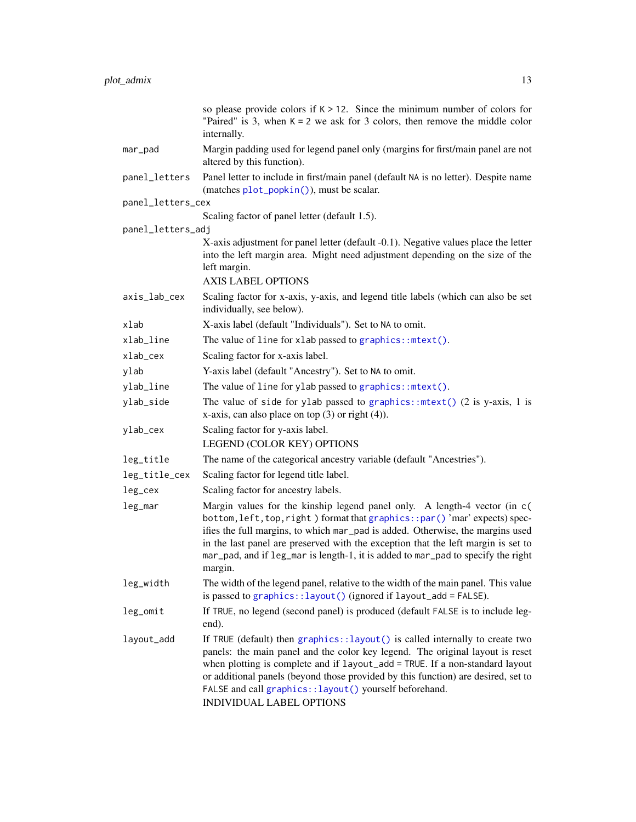<span id="page-12-0"></span>

|                   | so please provide colors if $K > 12$ . Since the minimum number of colors for<br>"Paired" is 3, when $K = 2$ we ask for 3 colors, then remove the middle color<br>internally.                                                                                                                                                                                                                                                    |
|-------------------|----------------------------------------------------------------------------------------------------------------------------------------------------------------------------------------------------------------------------------------------------------------------------------------------------------------------------------------------------------------------------------------------------------------------------------|
| mar_pad           | Margin padding used for legend panel only (margins for first/main panel are not<br>altered by this function).                                                                                                                                                                                                                                                                                                                    |
| panel_letters     | Panel letter to include in first/main panel (default NA is no letter). Despite name<br>(matches plot_popkin()), must be scalar.                                                                                                                                                                                                                                                                                                  |
| panel_letters_cex |                                                                                                                                                                                                                                                                                                                                                                                                                                  |
|                   | Scaling factor of panel letter (default 1.5).                                                                                                                                                                                                                                                                                                                                                                                    |
| panel_letters_adj | X-axis adjustment for panel letter (default -0.1). Negative values place the letter                                                                                                                                                                                                                                                                                                                                              |
|                   | into the left margin area. Might need adjustment depending on the size of the<br>left margin.<br><b>AXIS LABEL OPTIONS</b>                                                                                                                                                                                                                                                                                                       |
| axis_lab_cex      | Scaling factor for x-axis, y-axis, and legend title labels (which can also be set<br>individually, see below).                                                                                                                                                                                                                                                                                                                   |
| xlab              | X-axis label (default "Individuals"). Set to NA to omit.                                                                                                                                                                                                                                                                                                                                                                         |
| xlab_line         | The value of line for xlab passed to graphics:: mtext().                                                                                                                                                                                                                                                                                                                                                                         |
| xlab_cex          | Scaling factor for x-axis label.                                                                                                                                                                                                                                                                                                                                                                                                 |
| ylab              | Y-axis label (default "Ancestry"). Set to NA to omit.                                                                                                                                                                                                                                                                                                                                                                            |
| ylab_line         | The value of line for ylab passed to graphics:: mtext().                                                                                                                                                                                                                                                                                                                                                                         |
| ylab_side         | The value of side for ylab passed to graphics:: $mtext{text()}$ (2 is y-axis, 1 is<br>x-axis, can also place on top $(3)$ or right $(4)$ ).                                                                                                                                                                                                                                                                                      |
| ylab_cex          | Scaling factor for y-axis label.                                                                                                                                                                                                                                                                                                                                                                                                 |
|                   | LEGEND (COLOR KEY) OPTIONS                                                                                                                                                                                                                                                                                                                                                                                                       |
| leg_title         | The name of the categorical ancestry variable (default "Ancestries").                                                                                                                                                                                                                                                                                                                                                            |
| leg_title_cex     | Scaling factor for legend title label.                                                                                                                                                                                                                                                                                                                                                                                           |
| leg_cex           | Scaling factor for ancestry labels.                                                                                                                                                                                                                                                                                                                                                                                              |
| leg_mar           | Margin values for the kinship legend panel only. A length-4 vector (in c)<br>bottom, left, top, right) format that graphics:: par()'mar' expects) spec-<br>ifies the full margins, to which mar_pad is added. Otherwise, the margins used<br>in the last panel are preserved with the exception that the left margin is set to<br>mar_pad, and if leg_mar is length-1, it is added to mar_pad to specify the right<br>margin.    |
| leg_width         | The width of the legend panel, relative to the width of the main panel. This value<br>is passed to graphics:: layout() (ignored if layout_add = FALSE).                                                                                                                                                                                                                                                                          |
| leg_omit          | If TRUE, no legend (second panel) is produced (default FALSE is to include leg-<br>end).                                                                                                                                                                                                                                                                                                                                         |
| layout_add        | If TRUE (default) then graphics::layout() is called internally to create two<br>panels: the main panel and the color key legend. The original layout is reset<br>when plotting is complete and if layout_add = TRUE. If a non-standard layout<br>or additional panels (beyond those provided by this function) are desired, set to<br>FALSE and call graphics:: layout() yourself beforehand.<br><b>INDIVIDUAL LABEL OPTIONS</b> |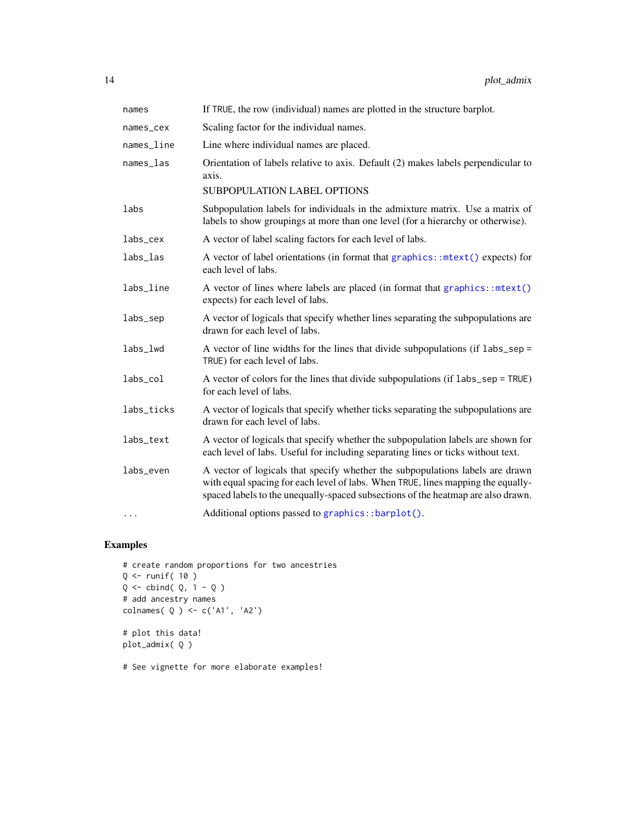<span id="page-13-0"></span>

| names      | If TRUE, the row (individual) names are plotted in the structure barplot.                                                                                                                                                                             |
|------------|-------------------------------------------------------------------------------------------------------------------------------------------------------------------------------------------------------------------------------------------------------|
| names_cex  | Scaling factor for the individual names.                                                                                                                                                                                                              |
| names_line | Line where individual names are placed.                                                                                                                                                                                                               |
| names_las  | Orientation of labels relative to axis. Default (2) makes labels perpendicular to<br>axis.<br>SUBPOPULATION LABEL OPTIONS                                                                                                                             |
|            |                                                                                                                                                                                                                                                       |
| labs       | Subpopulation labels for individuals in the admixture matrix. Use a matrix of<br>labels to show groupings at more than one level (for a hierarchy or otherwise).                                                                                      |
| labs_cex   | A vector of label scaling factors for each level of labs.                                                                                                                                                                                             |
| labs_las   | A vector of label orientations (in format that graphics::ntext() expects) for<br>each level of labs.                                                                                                                                                  |
| labs_line  | A vector of lines where labels are placed (in format that graphics::mtext()<br>expects) for each level of labs.                                                                                                                                       |
| labs_sep   | A vector of logicals that specify whether lines separating the subpopulations are<br>drawn for each level of labs.                                                                                                                                    |
| labs_lwd   | A vector of line widths for the lines that divide subpopulations (if $\text{labs\_sep} =$<br>TRUE) for each level of labs.                                                                                                                            |
| labs_col   | A vector of colors for the lines that divide subpopulations (if labs_sep = TRUE)<br>for each level of labs.                                                                                                                                           |
| labs_ticks | A vector of logicals that specify whether ticks separating the subpopulations are<br>drawn for each level of labs.                                                                                                                                    |
| labs_text  | A vector of logicals that specify whether the subpopulation labels are shown for<br>each level of labs. Useful for including separating lines or ticks without text.                                                                                  |
| labs_even  | A vector of logicals that specify whether the subpopulations labels are drawn<br>with equal spacing for each level of labs. When TRUE, lines mapping the equally-<br>spaced labels to the unequally-spaced subsections of the heatmap are also drawn. |
| $\cdots$   | Additional options passed to graphics::barplot().                                                                                                                                                                                                     |

# Examples

```
# create random proportions for two ancestries
Q <- runif( 10 )
Q \leftarrow cbind( Q, 1 - Q )
# add ancestry names
colnames( Q ) <- c('A1', 'A2')
# plot this data!
plot_admix( Q )
```
# See vignette for more elaborate examples!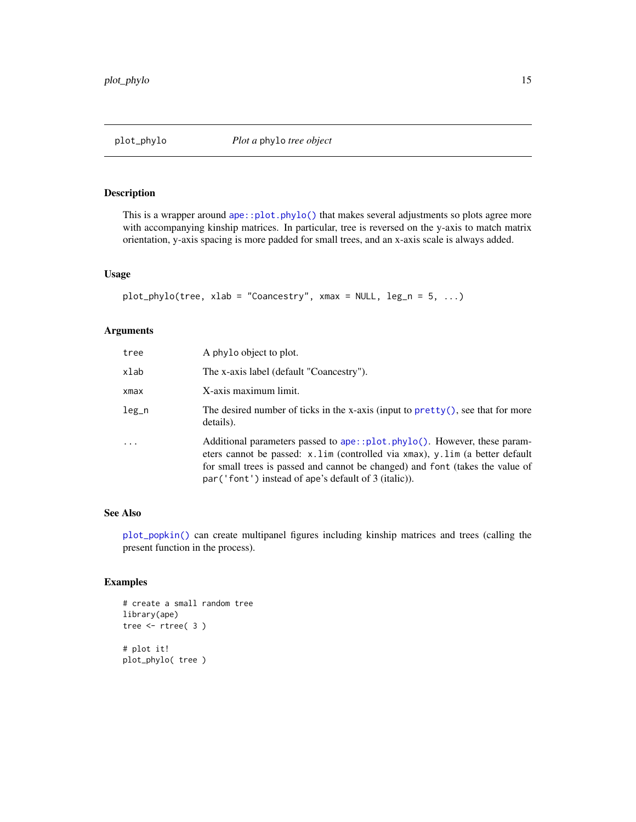# <span id="page-14-1"></span><span id="page-14-0"></span>Description

This is a wrapper around  $ape::plot.phpJo()$  that makes several adjustments so plots agree more with accompanying kinship matrices. In particular, tree is reversed on the y-axis to match matrix orientation, y-axis spacing is more padded for small trees, and an x-axis scale is always added.

# Usage

```
plot\_phylo(tree, xlab = "Coancestry", xmax = NULL, leg_n = 5, ...)
```
# Arguments

| tree  | A phylo object to plot.                                                                                                                                                                                                                                                                             |
|-------|-----------------------------------------------------------------------------------------------------------------------------------------------------------------------------------------------------------------------------------------------------------------------------------------------------|
| xlab  | The x-axis label (default "Coancestry").                                                                                                                                                                                                                                                            |
| xmax  | X-axis maximum limit.                                                                                                                                                                                                                                                                               |
| leg_n | The desired number of ticks in the x-axis (input to $\text{pretty}()$ , see that for more<br>details).                                                                                                                                                                                              |
| .     | Additional parameters passed to ape::plot.phylo(). However, these param-<br>eters cannot be passed: x.lim (controlled via xmax), y.lim (a better default<br>for small trees is passed and cannot be changed) and font (takes the value of<br>$par('font') instead of ape's default of 3 (italic)).$ |

# See Also

[plot\\_popkin\(\)](#page-15-1) can create multipanel figures including kinship matrices and trees (calling the present function in the process).

```
# create a small random tree
library(ape)
tree <- rtree( 3 )
# plot it!
plot_phylo( tree )
```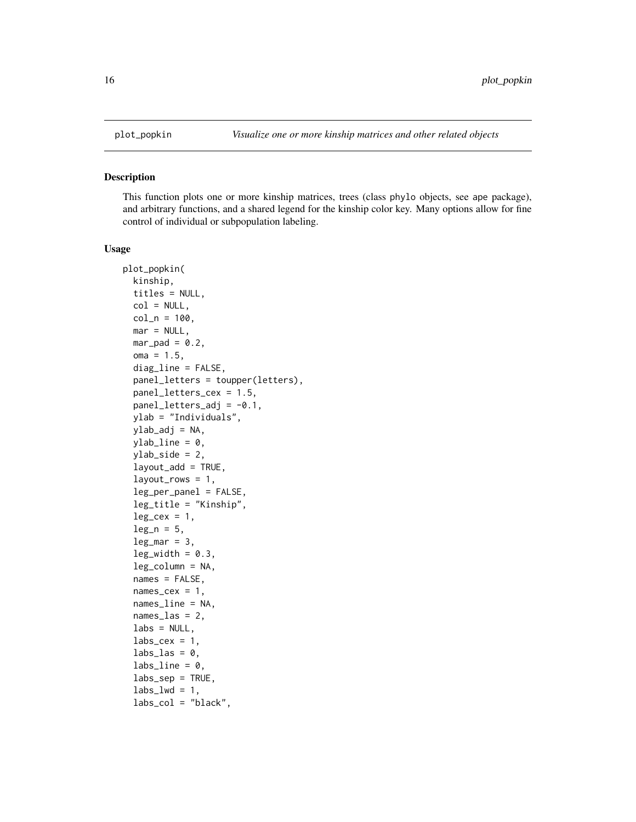<span id="page-15-1"></span><span id="page-15-0"></span>

### Description

This function plots one or more kinship matrices, trees (class phylo objects, see ape package), and arbitrary functions, and a shared legend for the kinship color key. Many options allow for fine control of individual or subpopulation labeling.

#### Usage

```
plot_popkin(
 kinship,
  titles = NULL,
  col = NULL,col_n = 100,mar = NULL,mar\_pad = 0.2,
  oma = 1.5,
  diag_line = FALSE,
  panel_letters = toupper(letters),
 panel_letters_cex = 1.5,
  panel\_letters\_adj = -0.1,
  ylab = "Individuals",
  ylab_adj = NA,
 ylab\_line = 0,
  ylab_side = 2,
  layout_add = TRUE,
  layout_rows = 1,
  leg_per_panel = FALSE,
  leg_title = "Kinship",
  leg\_cex = 1,
  leg_n = 5,
  leg\_mar = 3,
  leg\_width = 0.3,leg_column = NA,
  names = FALSE,
  names\_cex = 1,
  names_line = NA,
  names\_las = 2,
  \text{labels} = \text{NULL},
  labs_cex = 1,
  \text{labs}\_las = 0,
  labs = 0,
  labs\_sep = TRUE,\text{labs\_lwd} = 1,
  labs\_col = "black",
```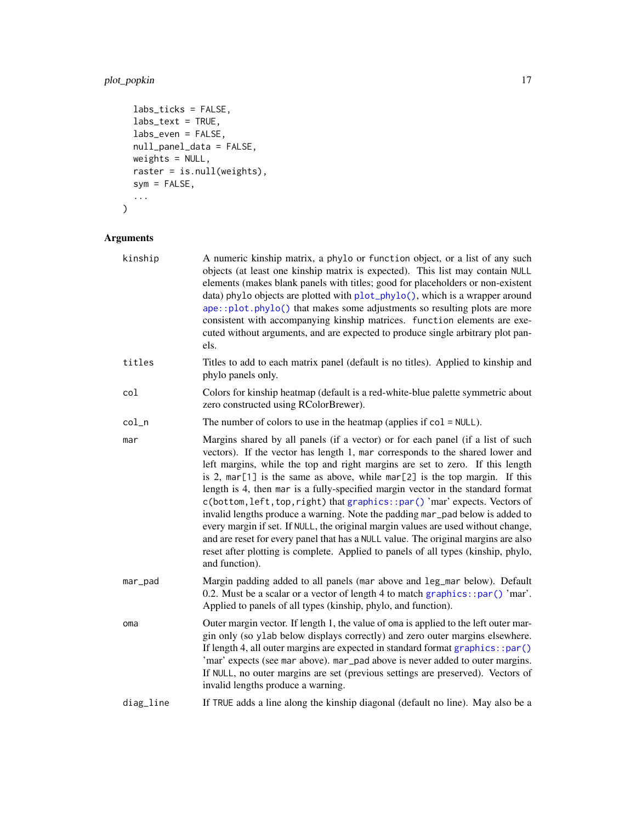# <span id="page-16-0"></span>plot\_popkin 17

```
labs_ticks = FALSE,
 labs_text = TRUE,
 labs\_even = FALSE,null_panel_data = FALSE,
 weights = NULL,
 raster = is.null(weights),
 sym = FALSE,
  ...
\mathcal{L}
```
# Arguments

| kinship   | A numeric kinship matrix, a phylo or function object, or a list of any such<br>objects (at least one kinship matrix is expected). This list may contain NULL<br>elements (makes blank panels with titles; good for placeholders or non-existent<br>data) phylo objects are plotted with plot_phylo(), which is a wrapper around<br>ape::plot.phylo() that makes some adjustments so resulting plots are more<br>consistent with accompanying kinship matrices. function elements are exe-<br>cuted without arguments, and are expected to produce single arbitrary plot pan-<br>els.                                                                                                                                                                                                                                                                                   |
|-----------|------------------------------------------------------------------------------------------------------------------------------------------------------------------------------------------------------------------------------------------------------------------------------------------------------------------------------------------------------------------------------------------------------------------------------------------------------------------------------------------------------------------------------------------------------------------------------------------------------------------------------------------------------------------------------------------------------------------------------------------------------------------------------------------------------------------------------------------------------------------------|
| titles    | Titles to add to each matrix panel (default is no titles). Applied to kinship and<br>phylo panels only.                                                                                                                                                                                                                                                                                                                                                                                                                                                                                                                                                                                                                                                                                                                                                                |
| col       | Colors for kinship heatmap (default is a red-white-blue palette symmetric about<br>zero constructed using RColorBrewer).                                                                                                                                                                                                                                                                                                                                                                                                                                                                                                                                                                                                                                                                                                                                               |
| $col_n$   | The number of colors to use in the heatmap (applies if $col = NULL$ ).                                                                                                                                                                                                                                                                                                                                                                                                                                                                                                                                                                                                                                                                                                                                                                                                 |
| mar       | Margins shared by all panels (if a vector) or for each panel (if a list of such<br>vectors). If the vector has length 1, mar corresponds to the shared lower and<br>left margins, while the top and right margins are set to zero. If this length<br>is 2, $mar[1]$ is the same as above, while $mar[2]$ is the top margin. If this<br>length is 4, then mar is a fully-specified margin vector in the standard format<br>c(bottom, left, top, right) that graphics::par()'mar' expects. Vectors of<br>invalid lengths produce a warning. Note the padding mar_pad below is added to<br>every margin if set. If NULL, the original margin values are used without change,<br>and are reset for every panel that has a NULL value. The original margins are also<br>reset after plotting is complete. Applied to panels of all types (kinship, phylo,<br>and function). |
| mar_pad   | Margin padding added to all panels (mar above and leg_mar below). Default<br>0.2. Must be a scalar or a vector of length 4 to match graphics:: $par() 'mar'.$<br>Applied to panels of all types (kinship, phylo, and function).                                                                                                                                                                                                                                                                                                                                                                                                                                                                                                                                                                                                                                        |
| oma       | Outer margin vector. If length 1, the value of oma is applied to the left outer mar-<br>gin only (so ylab below displays correctly) and zero outer margins elsewhere.<br>If length 4, all outer margins are expected in standard format graphics::par()<br>'mar' expects (see mar above). mar_pad above is never added to outer margins.<br>If NULL, no outer margins are set (previous settings are preserved). Vectors of<br>invalid lengths produce a warning.                                                                                                                                                                                                                                                                                                                                                                                                      |
| diag_line | If TRUE adds a line along the kinship diagonal (default no line). May also be a                                                                                                                                                                                                                                                                                                                                                                                                                                                                                                                                                                                                                                                                                                                                                                                        |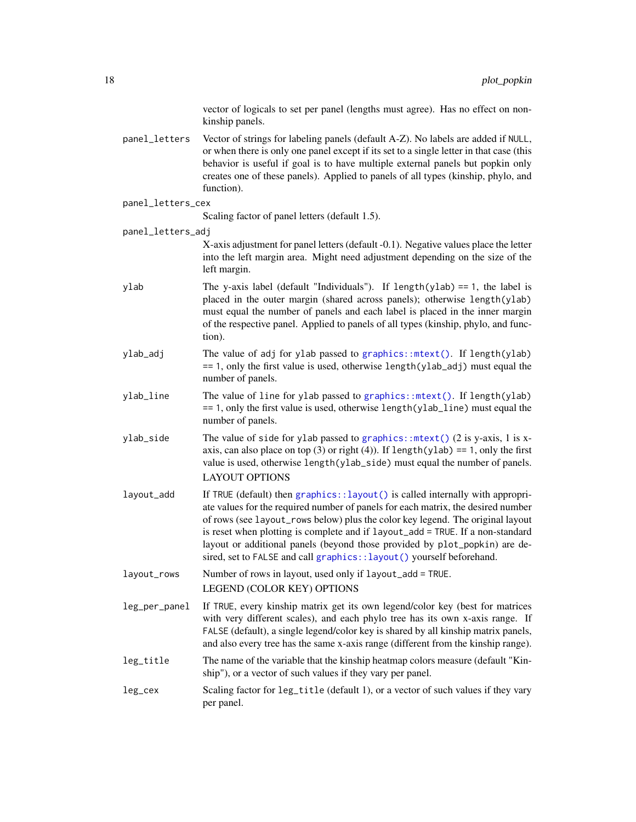vector of logicals to set per panel (lengths must agree). Has no effect on nonkinship panels.

- <span id="page-17-0"></span>panel\_letters Vector of strings for labeling panels (default A-Z). No labels are added if NULL, or when there is only one panel except if its set to a single letter in that case (this behavior is useful if goal is to have multiple external panels but popkin only creates one of these panels). Applied to panels of all types (kinship, phylo, and function).
- panel\_letters\_cex

Scaling factor of panel letters (default 1.5).

panel\_letters\_adj

X-axis adjustment for panel letters (default -0.1). Negative values place the letter into the left margin area. Might need adjustment depending on the size of the left margin.

- ylab The y-axis label (default "Individuals"). If length(ylab) == 1, the label is placed in the outer margin (shared across panels); otherwise length(ylab) must equal the number of panels and each label is placed in the inner margin of the respective panel. Applied to panels of all types (kinship, phylo, and function).
- ylab\_adj The value of adj for ylab passed to [graphics::mtext\(\)](#page-0-0). If length(ylab)  $== 1$ , only the first value is used, otherwise length(ylab\_adj) must equal the number of panels.
- ylab\_line The value of line for ylab passed to [graphics::mtext\(\)](#page-0-0). If length(ylab) == 1, only the first value is used, otherwise length(ylab\_line) must equal the number of panels.
- ylab\_side The value of side for ylab passed to graphics:: $mtext{ text}()$  (2 is y-axis, 1 is xaxis, can also place on top (3) or right (4)). If length(ylab) == 1, only the first value is used, otherwise length(ylab\_side) must equal the number of panels. LAYOUT OPTIONS
- layout\_add If TRUE (default) then [graphics::layout\(\)](#page-0-0) is called internally with appropriate values for the required number of panels for each matrix, the desired number of rows (see layout\_rows below) plus the color key legend. The original layout is reset when plotting is complete and if layout\_add = TRUE. If a non-standard layout or additional panels (beyond those provided by plot\_popkin) are desired, set to FALSE and call graphics:: layout() yourself beforehand.
- layout\_rows Number of rows in layout, used only if layout\_add = TRUE. LEGEND (COLOR KEY) OPTIONS
- leg\_per\_panel If TRUE, every kinship matrix get its own legend/color key (best for matrices with very different scales), and each phylo tree has its own x-axis range. If FALSE (default), a single legend/color key is shared by all kinship matrix panels, and also every tree has the same x-axis range (different from the kinship range).
- leg\_title The name of the variable that the kinship heatmap colors measure (default "Kinship"), or a vector of such values if they vary per panel.
- leg\_cex Scaling factor for leg\_title (default 1), or a vector of such values if they vary per panel.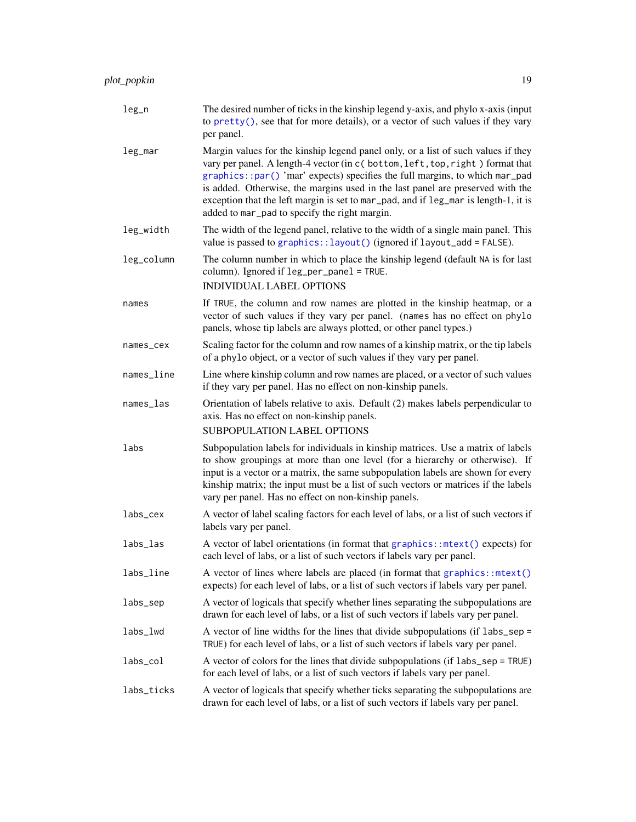<span id="page-18-0"></span>

| $leg_n$    | The desired number of ticks in the kinship legend y-axis, and phylo x-axis (input<br>to $\text{prety}()$ , see that for more details), or a vector of such values if they vary<br>per panel.                                                                                                                                                                                                                                                                                 |
|------------|------------------------------------------------------------------------------------------------------------------------------------------------------------------------------------------------------------------------------------------------------------------------------------------------------------------------------------------------------------------------------------------------------------------------------------------------------------------------------|
| leg_mar    | Margin values for the kinship legend panel only, or a list of such values if they<br>vary per panel. A length-4 vector (in c (bottom, left, top, right) format that<br>graphics::par() 'mar' expects) specifies the full margins, to which mar_pad<br>is added. Otherwise, the margins used in the last panel are preserved with the<br>exception that the left margin is set to mar_pad, and if leg_mar is length-1, it is<br>added to mar_pad to specify the right margin. |
| leg_width  | The width of the legend panel, relative to the width of a single main panel. This<br>value is passed to graphics:: layout() (ignored if layout_add = FALSE).                                                                                                                                                                                                                                                                                                                 |
| leg_column | The column number in which to place the kinship legend (default NA is for last<br>column). Ignored if leg_per_panel = TRUE.<br><b>INDIVIDUAL LABEL OPTIONS</b>                                                                                                                                                                                                                                                                                                               |
| names      | If TRUE, the column and row names are plotted in the kinship heatmap, or a<br>vector of such values if they vary per panel. (names has no effect on phylo<br>panels, whose tip labels are always plotted, or other panel types.)                                                                                                                                                                                                                                             |
| names_cex  | Scaling factor for the column and row names of a kinship matrix, or the tip labels<br>of a phylo object, or a vector of such values if they vary per panel.                                                                                                                                                                                                                                                                                                                  |
| names_line | Line where kinship column and row names are placed, or a vector of such values<br>if they vary per panel. Has no effect on non-kinship panels.                                                                                                                                                                                                                                                                                                                               |
| names_las  | Orientation of labels relative to axis. Default (2) makes labels perpendicular to<br>axis. Has no effect on non-kinship panels.<br><b>SUBPOPULATION LABEL OPTIONS</b>                                                                                                                                                                                                                                                                                                        |
| labs       | Subpopulation labels for individuals in kinship matrices. Use a matrix of labels<br>to show groupings at more than one level (for a hierarchy or otherwise). If<br>input is a vector or a matrix, the same subpopulation labels are shown for every<br>kinship matrix; the input must be a list of such vectors or matrices if the labels<br>vary per panel. Has no effect on non-kinship panels.                                                                            |
| labs_cex   | A vector of label scaling factors for each level of labs, or a list of such vectors if<br>labels vary per panel.                                                                                                                                                                                                                                                                                                                                                             |
| labs_las   | A vector of label orientations (in format that graphics::mtext() expects) for<br>each level of labs, or a list of such vectors if labels vary per panel.                                                                                                                                                                                                                                                                                                                     |
| labs_line  | A vector of lines where labels are placed (in format that graphics::mtext()<br>expects) for each level of labs, or a list of such vectors if labels vary per panel.                                                                                                                                                                                                                                                                                                          |
| labs_sep   | A vector of logicals that specify whether lines separating the subpopulations are<br>drawn for each level of labs, or a list of such vectors if labels vary per panel.                                                                                                                                                                                                                                                                                                       |
| labs_lwd   | A vector of line widths for the lines that divide subpopulations (if labs_sep =<br>TRUE) for each level of labs, or a list of such vectors if labels vary per panel.                                                                                                                                                                                                                                                                                                         |
| labs_col   | A vector of colors for the lines that divide subpopulations (if labs_sep = TRUE)<br>for each level of labs, or a list of such vectors if labels vary per panel.                                                                                                                                                                                                                                                                                                              |
| labs_ticks | A vector of logicals that specify whether ticks separating the subpopulations are<br>drawn for each level of labs, or a list of such vectors if labels vary per panel.                                                                                                                                                                                                                                                                                                       |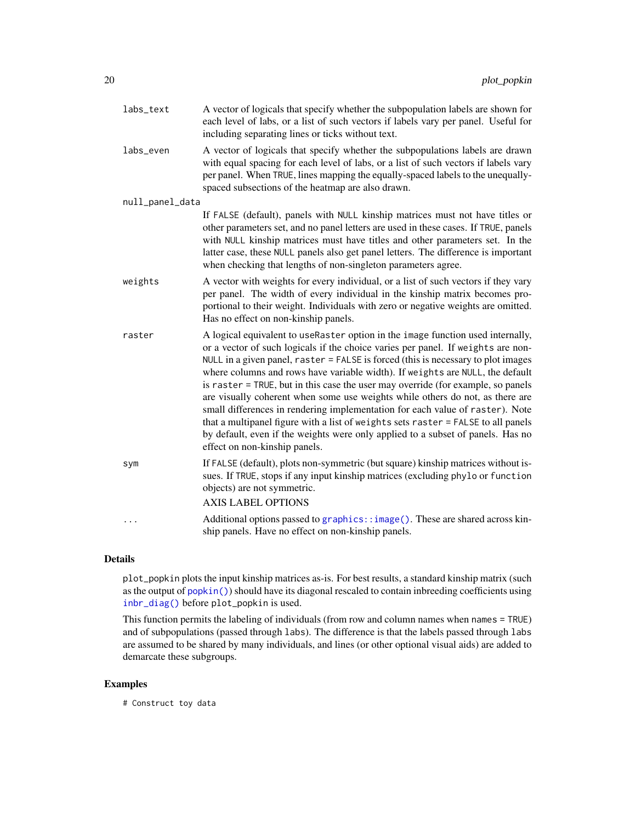<span id="page-19-0"></span>

| labs_text       | A vector of logicals that specify whether the subpopulation labels are shown for<br>each level of labs, or a list of such vectors if labels vary per panel. Useful for<br>including separating lines or ticks without text.                                                                                                                                                                                                                                                                                                                                                                                                                                                                                                                                                                              |
|-----------------|----------------------------------------------------------------------------------------------------------------------------------------------------------------------------------------------------------------------------------------------------------------------------------------------------------------------------------------------------------------------------------------------------------------------------------------------------------------------------------------------------------------------------------------------------------------------------------------------------------------------------------------------------------------------------------------------------------------------------------------------------------------------------------------------------------|
| labs_even       | A vector of logicals that specify whether the subpopulations labels are drawn<br>with equal spacing for each level of labs, or a list of such vectors if labels vary<br>per panel. When TRUE, lines mapping the equally-spaced labels to the unequally-<br>spaced subsections of the heatmap are also drawn.                                                                                                                                                                                                                                                                                                                                                                                                                                                                                             |
| null_panel_data |                                                                                                                                                                                                                                                                                                                                                                                                                                                                                                                                                                                                                                                                                                                                                                                                          |
|                 | If FALSE (default), panels with NULL kinship matrices must not have titles or<br>other parameters set, and no panel letters are used in these cases. If TRUE, panels<br>with NULL kinship matrices must have titles and other parameters set. In the<br>latter case, these NULL panels also get panel letters. The difference is important<br>when checking that lengths of non-singleton parameters agree.                                                                                                                                                                                                                                                                                                                                                                                              |
| weights         | A vector with weights for every individual, or a list of such vectors if they vary<br>per panel. The width of every individual in the kinship matrix becomes pro-<br>portional to their weight. Individuals with zero or negative weights are omitted.<br>Has no effect on non-kinship panels.                                                                                                                                                                                                                                                                                                                                                                                                                                                                                                           |
| raster          | A logical equivalent to useRaster option in the image function used internally,<br>or a vector of such logicals if the choice varies per panel. If weights are non-<br>NULL in a given panel, raster = FALSE is forced (this is necessary to plot images<br>where columns and rows have variable width). If weights are NULL, the default<br>is raster = TRUE, but in this case the user may override (for example, so panels<br>are visually coherent when some use weights while others do not, as there are<br>small differences in rendering implementation for each value of raster). Note<br>that a multipanel figure with a list of weights sets raster = FALSE to all panels<br>by default, even if the weights were only applied to a subset of panels. Has no<br>effect on non-kinship panels. |
| sym             | If FALSE (default), plots non-symmetric (but square) kinship matrices without is-<br>sues. If TRUE, stops if any input kinship matrices (excluding phylo or function<br>objects) are not symmetric.<br><b>AXIS LABEL OPTIONS</b>                                                                                                                                                                                                                                                                                                                                                                                                                                                                                                                                                                         |
|                 | Additional options passed to graphics::image(). These are shared across kin-<br>ship panels. Have no effect on non-kinship panels.                                                                                                                                                                                                                                                                                                                                                                                                                                                                                                                                                                                                                                                                       |

# Details

plot\_popkin plots the input kinship matrices as-is. For best results, a standard kinship matrix (such as the output of [popkin\(\)](#page-20-1)) should have its diagonal rescaled to contain inbreeding coefficients using [inbr\\_diag\(\)](#page-6-1) before plot\_popkin is used.

This function permits the labeling of individuals (from row and column names when names = TRUE) and of subpopulations (passed through labs). The difference is that the labels passed through labs are assumed to be shared by many individuals, and lines (or other optional visual aids) are added to demarcate these subgroups.

# Examples

# Construct toy data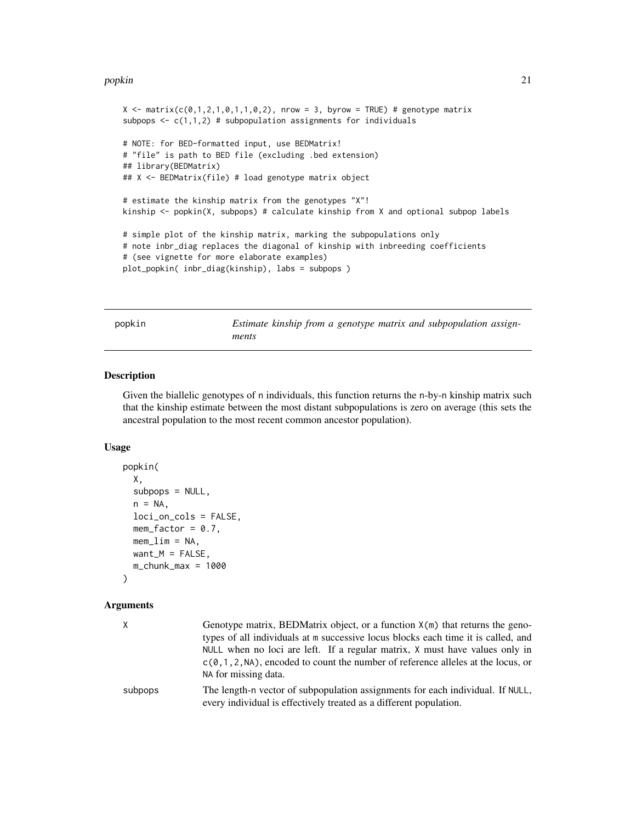#### <span id="page-20-0"></span>popkin 21

```
X \leq matrix(c(0,1,2,1,0,1,1,0,2), nrow = 3, byrow = TRUE) # genotype matrix
subpops \leq c(1,1,2) # subpopulation assignments for individuals
# NOTE: for BED-formatted input, use BEDMatrix!
# "file" is path to BED file (excluding .bed extension)
## library(BEDMatrix)
## X <- BEDMatrix(file) # load genotype matrix object
# estimate the kinship matrix from the genotypes "X"!
kinship <- popkin(X, subpops) # calculate kinship from X and optional subpop labels
# simple plot of the kinship matrix, marking the subpopulations only
# note inbr_diag replaces the diagonal of kinship with inbreeding coefficients
# (see vignette for more elaborate examples)
plot_popkin( inbr_diag(kinship), labs = subpops )
```
<span id="page-20-1"></span>

popkin *Estimate kinship from a genotype matrix and subpopulation assignments*

# Description

Given the biallelic genotypes of n individuals, this function returns the n-by-n kinship matrix such that the kinship estimate between the most distant subpopulations is zero on average (this sets the ancestral population to the most recent common ancestor population).

# Usage

```
popkin(
  X,
  subpops = NULL,n = NA.
  loci_on_cols = FALSE,
  mem_factor = 0.7,
  mem<sub>1im</sub> = NA,
  want_M = FALSE,
  m_{\text{L}}chunk\text{L}max = 1000
\lambda
```
# Arguments

| X.      | Genotype matrix, BEDMatrix object, or a function $X(m)$ that returns the geno-<br>types of all individuals at m successive locus blocks each time it is called, and<br>NULL when no loci are left. If a regular matrix, X must have values only in<br>$c(0,1,2,NA)$ , encoded to count the number of reference alleles at the locus, or<br>NA for missing data. |
|---------|-----------------------------------------------------------------------------------------------------------------------------------------------------------------------------------------------------------------------------------------------------------------------------------------------------------------------------------------------------------------|
| subpops | The length-n vector of subpopulation assignments for each individual. If NULL,<br>every individual is effectively treated as a different population.                                                                                                                                                                                                            |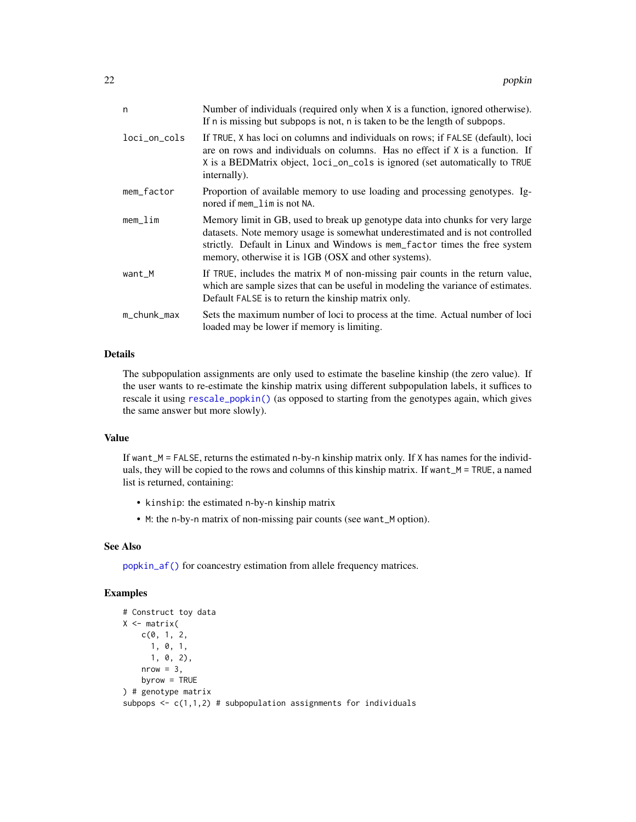<span id="page-21-0"></span>

| n            | Number of individuals (required only when X is a function, ignored otherwise).<br>If n is missing but subpops is not, n is taken to be the length of subpops.                                                                                                                                       |
|--------------|-----------------------------------------------------------------------------------------------------------------------------------------------------------------------------------------------------------------------------------------------------------------------------------------------------|
| loci_on_cols | If TRUE, X has loci on columns and individuals on rows; if FALSE (default), loci<br>are on rows and individuals on columns. Has no effect if $X$ is a function. If<br>X is a BEDMatrix object, loci_on_cols is ignored (set automatically to TRUE<br>internally).                                   |
| mem_factor   | Proportion of available memory to use loading and processing genotypes. Ig-<br>nored if mem_lim is not NA.                                                                                                                                                                                          |
| mem          | Memory limit in GB, used to break up genotype data into chunks for very large<br>datasets. Note memory usage is somewhat underestimated and is not controlled<br>strictly. Default in Linux and Windows is mem_factor times the free system<br>memory, otherwise it is 1GB (OSX and other systems). |
| want_M       | If TRUE, includes the matrix M of non-missing pair counts in the return value,<br>which are sample sizes that can be useful in modeling the variance of estimates.<br>Default FALSE is to return the kinship matrix only.                                                                           |
| m_chunk_max  | Sets the maximum number of loci to process at the time. Actual number of loci<br>loaded may be lower if memory is limiting.                                                                                                                                                                         |

# Details

The subpopulation assignments are only used to estimate the baseline kinship (the zero value). If the user wants to re-estimate the kinship matrix using different subpopulation labels, it suffices to rescale it using [rescale\\_popkin\(\)](#page-27-1) (as opposed to starting from the genotypes again, which gives the same answer but more slowly).

# Value

If want $_M$  = FALSE, returns the estimated n-by-n kinship matrix only. If X has names for the individuals, they will be copied to the rows and columns of this kinship matrix. If want $\mu$  = TRUE, a named list is returned, containing:

- kinship: the estimated n-by-n kinship matrix
- M: the n-by-n matrix of non-missing pair counts (see want\_M option).

# See Also

[popkin\\_af\(\)](#page-23-1) for coancestry estimation from allele frequency matrices.

```
# Construct toy data
X \leftarrow matrix(c(0, 1, 2,1, 0, 1,
      1, 0, 2),
    nrow = 3,
    byrow = TRUE
) # genotype matrix
subpops \leq c(1,1,2) # subpopulation assignments for individuals
```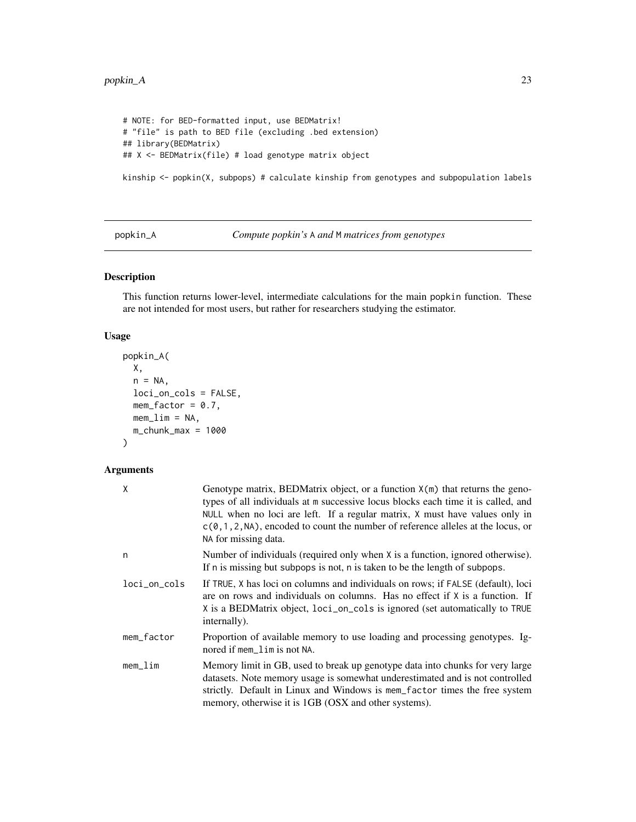#### <span id="page-22-0"></span> $p$ opkin\_A 23

```
# NOTE: for BED-formatted input, use BEDMatrix!
# "file" is path to BED file (excluding .bed extension)
## library(BEDMatrix)
## X <- BEDMatrix(file) # load genotype matrix object
```
kinship <- popkin(X, subpops) # calculate kinship from genotypes and subpopulation labels

<span id="page-22-1"></span>popkin\_A *Compute popkin's* A *and* M *matrices from genotypes*

# Description

This function returns lower-level, intermediate calculations for the main popkin function. These are not intended for most users, but rather for researchers studying the estimator.

# Usage

```
popkin_A(
  X,
  n = NA,
  loci_on_cols = FALSE,
  mem_factor = 0.7,
  memlim = NA,
  m_{\text{c}}hunk_max = 1000
\mathcal{L}
```
# Arguments

| Χ            | Genotype matrix, BEDMatrix object, or a function $X(m)$ that returns the geno-<br>types of all individuals at m successive locus blocks each time it is called, and<br>NULL when no loci are left. If a regular matrix, X must have values only in<br>$c(0, 1, 2, NA)$ , encoded to count the number of reference alleles at the locus, or<br>NA for missing data. |
|--------------|--------------------------------------------------------------------------------------------------------------------------------------------------------------------------------------------------------------------------------------------------------------------------------------------------------------------------------------------------------------------|
| n            | Number of individuals (required only when X is a function, ignored otherwise).<br>If n is missing but subpops is not, n is taken to be the length of subpops.                                                                                                                                                                                                      |
| loci_on_cols | If TRUE, X has loci on columns and individuals on rows; if FALSE (default), loci<br>are on rows and individuals on columns. Has no effect if X is a function. If<br>X is a BEDMatrix object, loci_on_cols is ignored (set automatically to TRUE<br>internally).                                                                                                    |
| mem_factor   | Proportion of available memory to use loading and processing genotypes. Ig-<br>nored if mem_lim is not NA.                                                                                                                                                                                                                                                         |
| mem_lim      | Memory limit in GB, used to break up genotype data into chunks for very large<br>datasets. Note memory usage is somewhat underestimated and is not controlled<br>strictly. Default in Linux and Windows is mem_factor times the free system<br>memory, otherwise it is 1GB (OSX and other systems).                                                                |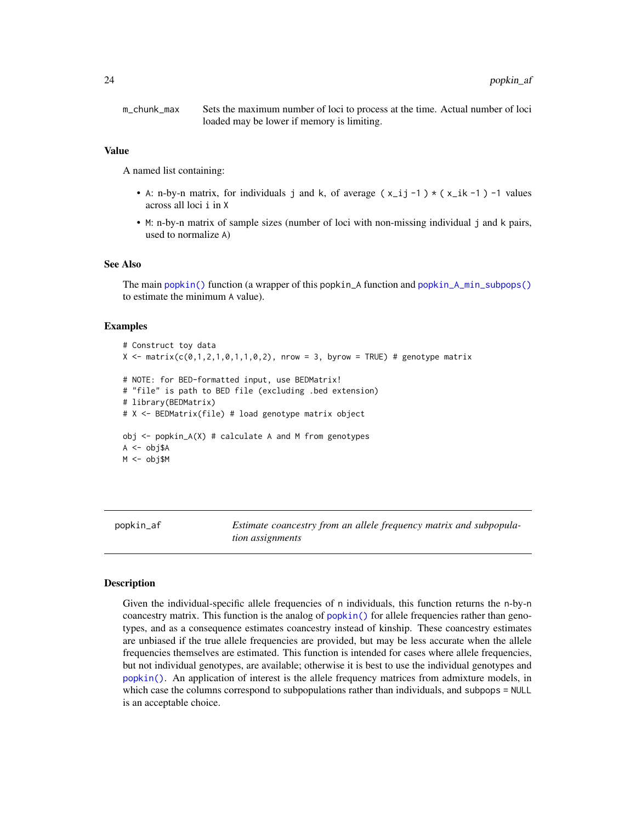<span id="page-23-0"></span>m\_chunk\_max Sets the maximum number of loci to process at the time. Actual number of loci loaded may be lower if memory is limiting.

#### Value

A named list containing:

- A: n-by-n matrix, for individuals j and k, of average  $(x_i, i_j 1) \times (x_i, k 1)$  -1 values across all loci i in X
- M: n-by-n matrix of sample sizes (number of loci with non-missing individual j and k pairs, used to normalize A)

#### See Also

The main [popkin\(\)](#page-20-1) function (a wrapper of this popkin\_A function and [popkin\\_A\\_min\\_subpops\(\)](#page-25-1) to estimate the minimum A value).

# Examples

# Construct toy data  $X \leq$  matrix(c(0,1,2,1,0,1,1,0,2), nrow = 3, byrow = TRUE) # genotype matrix # NOTE: for BED-formatted input, use BEDMatrix! # "file" is path to BED file (excluding .bed extension) # library(BEDMatrix) # X <- BEDMatrix(file) # load genotype matrix object  $obj \leq popkin_A(X)$  # calculate A and M from genotypes A <- obj\$A M <- obj\$M

<span id="page-23-1"></span>

popkin\_af *Estimate coancestry from an allele frequency matrix and subpopulation assignments*

#### **Description**

Given the individual-specific allele frequencies of n individuals, this function returns the n-by-n coancestry matrix. This function is the analog of [popkin\(\)](#page-20-1) for allele frequencies rather than genotypes, and as a consequence estimates coancestry instead of kinship. These coancestry estimates are unbiased if the true allele frequencies are provided, but may be less accurate when the allele frequencies themselves are estimated. This function is intended for cases where allele frequencies, but not individual genotypes, are available; otherwise it is best to use the individual genotypes and [popkin\(\)](#page-20-1). An application of interest is the allele frequency matrices from admixture models, in which case the columns correspond to subpopulations rather than individuals, and subpops = NULL is an acceptable choice.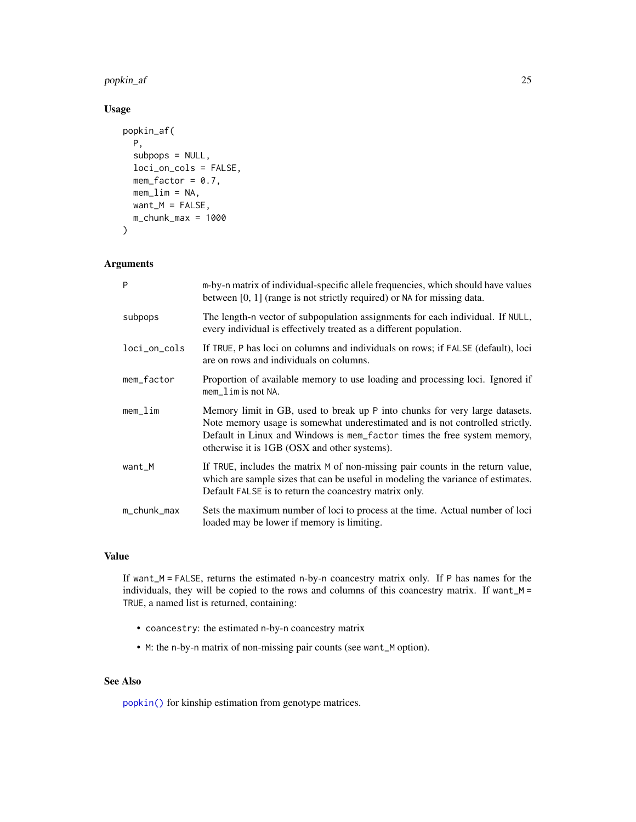popkin\_af 25

# Usage

```
popkin_af(
  P,
  subpops = NULL,loci_on_cols = FALSE,
  mem_factor = 0.7,
  mem\_lim = NA,want_M = FALSE,m_{\text{L}}chunk\text{L}max = 1000
)
```
# Arguments

| P            | m-by-n matrix of individual-specific allele frequencies, which should have values<br>between [0, 1] (range is not strictly required) or NA for missing data.                                                                                                                            |
|--------------|-----------------------------------------------------------------------------------------------------------------------------------------------------------------------------------------------------------------------------------------------------------------------------------------|
| subpops      | The length-n vector of subpopulation assignments for each individual. If NULL,<br>every individual is effectively treated as a different population.                                                                                                                                    |
| loci_on_cols | If TRUE, P has loci on columns and individuals on rows; if FALSE (default), loci<br>are on rows and individuals on columns.                                                                                                                                                             |
| mem_factor   | Proportion of available memory to use loading and processing loci. Ignored if<br>$mem$ lim is not NA.                                                                                                                                                                                   |
| mem_lim      | Memory limit in GB, used to break up P into chunks for very large datasets.<br>Note memory usage is somewhat underestimated and is not controlled strictly.<br>Default in Linux and Windows is mem_factor times the free system memory,<br>otherwise it is 1GB (OSX and other systems). |
| want_M       | If TRUE, includes the matrix M of non-missing pair counts in the return value,<br>which are sample sizes that can be useful in modeling the variance of estimates.<br>Default FALSE is to return the coancestry matrix only.                                                            |
| m_chunk_max  | Sets the maximum number of loci to process at the time. Actual number of loci<br>loaded may be lower if memory is limiting.                                                                                                                                                             |

# Value

If want\_M = FALSE, returns the estimated n-by-n coancestry matrix only. If P has names for the individuals, they will be copied to the rows and columns of this coancestry matrix. If want\_M = TRUE, a named list is returned, containing:

- coancestry: the estimated n-by-n coancestry matrix
- M: the n-by-n matrix of non-missing pair counts (see want\_M option).

# See Also

[popkin\(\)](#page-20-1) for kinship estimation from genotype matrices.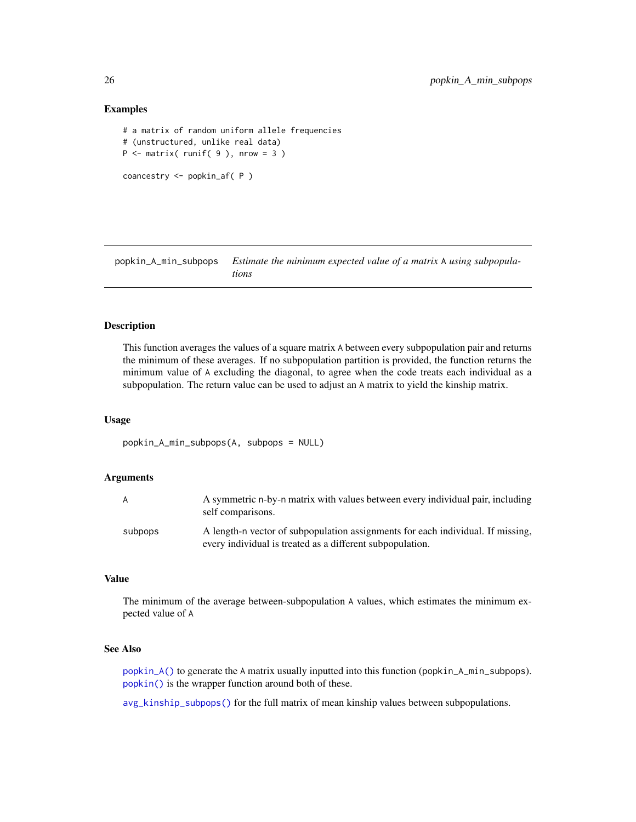# Examples

```
# a matrix of random uniform allele frequencies
# (unstructured, unlike real data)
P \leq - matrix( runif( 9 ), nrow = 3 )
coancestry <- popkin_af( P )
```
<span id="page-25-1"></span>popkin\_A\_min\_subpops *Estimate the minimum expected value of a matrix* A *using subpopulations*

# Description

This function averages the values of a square matrix A between every subpopulation pair and returns the minimum of these averages. If no subpopulation partition is provided, the function returns the minimum value of A excluding the diagonal, to agree when the code treats each individual as a subpopulation. The return value can be used to adjust an A matrix to yield the kinship matrix.

#### Usage

```
popkin_A_min_subpops(A, subpops = NULL)
```
#### Arguments

| A       | A symmetric n-by-n matrix with values between every individual pair, including<br>self comparisons.                                          |
|---------|----------------------------------------------------------------------------------------------------------------------------------------------|
| subpops | A length-n vector of subpopulation assignments for each individual. If missing,<br>every individual is treated as a different subpopulation. |

# Value

The minimum of the average between-subpopulation A values, which estimates the minimum expected value of A

# See Also

[popkin\\_A\(\)](#page-22-1) to generate the A matrix usually inputted into this function (popkin\_A\_min\_subpops). [popkin\(\)](#page-20-1) is the wrapper function around both of these.

[avg\\_kinship\\_subpops\(\)](#page-2-1) for the full matrix of mean kinship values between subpopulations.

<span id="page-25-0"></span>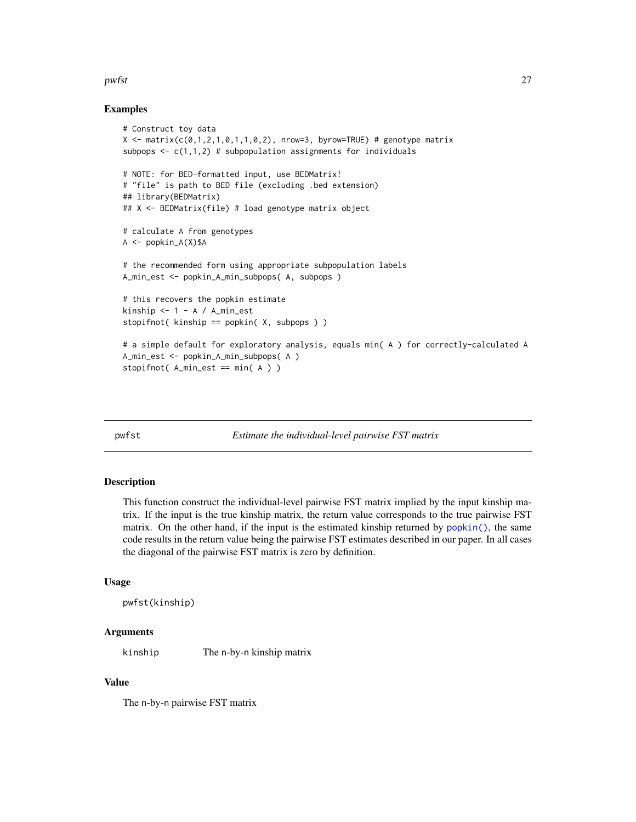#### <span id="page-26-0"></span>pwfst 27

# Examples

```
# Construct toy data
X \le - matrix(c(0,1,2,1,0,1,1,0,2), nrow=3, byrow=TRUE) # genotype matrix
subpops \leq c(1,1,2) # subpopulation assignments for individuals
# NOTE: for BED-formatted input, use BEDMatrix!
# "file" is path to BED file (excluding .bed extension)
## library(BEDMatrix)
## X <- BEDMatrix(file) # load genotype matrix object
# calculate A from genotypes
A \leq -popkin_A(X)$A
# the recommended form using appropriate subpopulation labels
A_min_est <- popkin_A_min_subpops( A, subpops )
# this recovers the popkin estimate
kinship <-1 - A / A_{min\_est}stopifnot( kinship == popkin( X, subpops ) )
# a simple default for exploratory analysis, equals min( A ) for correctly-calculated A
A_min_est <- popkin_A_min_subpops( A )
stopifnot(A_min_est == min(A))
```
<span id="page-26-1"></span>

pwfst *Estimate the individual-level pairwise FST matrix*

#### Description

This function construct the individual-level pairwise FST matrix implied by the input kinship matrix. If the input is the true kinship matrix, the return value corresponds to the true pairwise FST matrix. On the other hand, if the input is the estimated kinship returned by [popkin\(\)](#page-20-1), the same code results in the return value being the pairwise FST estimates described in our paper. In all cases the diagonal of the pairwise FST matrix is zero by definition.

# Usage

```
pwfst(kinship)
```
# Arguments

kinship The n-by-n kinship matrix

# Value

The n-by-n pairwise FST matrix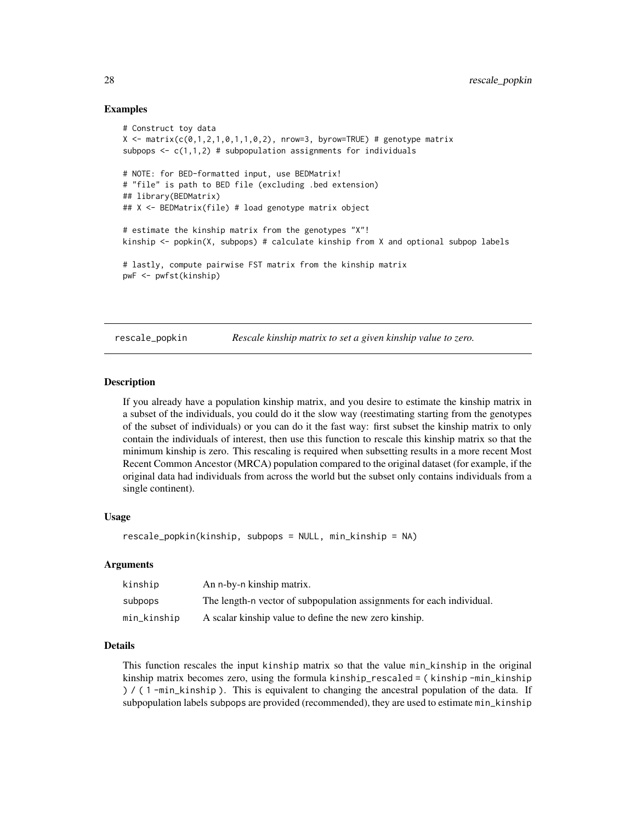# Examples

```
# Construct toy data
X \le - matrix(c(0,1,2,1,0,1,1,0,2), nrow=3, byrow=TRUE) # genotype matrix
subpops \leq c(1,1,2) # subpopulation assignments for individuals
# NOTE: for BED-formatted input, use BEDMatrix!
# "file" is path to BED file (excluding .bed extension)
## library(BEDMatrix)
## X <- BEDMatrix(file) # load genotype matrix object
# estimate the kinship matrix from the genotypes "X"!
kinship <- popkin(X, subpops) # calculate kinship from X and optional subpop labels
# lastly, compute pairwise FST matrix from the kinship matrix
pwF <- pwfst(kinship)
```
<span id="page-27-1"></span>rescale\_popkin *Rescale kinship matrix to set a given kinship value to zero.*

# Description

If you already have a population kinship matrix, and you desire to estimate the kinship matrix in a subset of the individuals, you could do it the slow way (reestimating starting from the genotypes of the subset of individuals) or you can do it the fast way: first subset the kinship matrix to only contain the individuals of interest, then use this function to rescale this kinship matrix so that the minimum kinship is zero. This rescaling is required when subsetting results in a more recent Most Recent Common Ancestor (MRCA) population compared to the original dataset (for example, if the original data had individuals from across the world but the subset only contains individuals from a single continent).

#### Usage

```
rescale_popkin(kinship, subpops = NULL, min_kinship = NA)
```
# Arguments

| kinship     | An n-by-n kinship matrix.                                             |
|-------------|-----------------------------------------------------------------------|
| subpops     | The length-n vector of subpopulation assignments for each individual. |
| min_kinship | A scalar kinship value to define the new zero kinship.                |

# Details

This function rescales the input kinship matrix so that the value min\_kinship in the original kinship matrix becomes zero, using the formula kinship\_rescaled = ( kinship -min\_kinship ) / ( 1 -min\_kinship ). This is equivalent to changing the ancestral population of the data. If subpopulation labels subpops are provided (recommended), they are used to estimate min\_kinship

<span id="page-27-0"></span>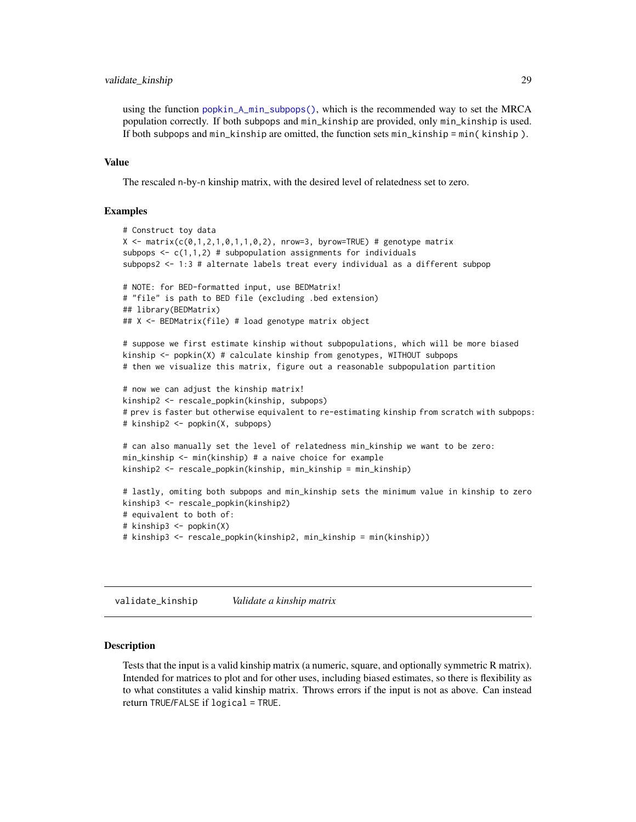# <span id="page-28-0"></span>validate\_kinship 29

using the function [popkin\\_A\\_min\\_subpops\(\)](#page-25-1), which is the recommended way to set the MRCA population correctly. If both subpops and min\_kinship are provided, only min\_kinship is used. If both subpops and min\_kinship are omitted, the function sets min\_kinship = min( kinship ).

# Value

The rescaled n-by-n kinship matrix, with the desired level of relatedness set to zero.

# Examples

```
# Construct toy data
X \le - matrix(c(0,1,2,1,0,1,1,0,2), nrow=3, byrow=TRUE) # genotype matrix
subpops \leq c(1,1,2) # subpopulation assignments for individuals
subpops2 <- 1:3 # alternate labels treat every individual as a different subpop
# NOTE: for BED-formatted input, use BEDMatrix!
# "file" is path to BED file (excluding .bed extension)
## library(BEDMatrix)
## X <- BEDMatrix(file) # load genotype matrix object
# suppose we first estimate kinship without subpopulations, which will be more biased
kinship <- popkin(X) # calculate kinship from genotypes, WITHOUT subpops
# then we visualize this matrix, figure out a reasonable subpopulation partition
# now we can adjust the kinship matrix!
kinship2 <- rescale_popkin(kinship, subpops)
# prev is faster but otherwise equivalent to re-estimating kinship from scratch with subpops:
# kinship2 <- popkin(X, subpops)
# can also manually set the level of relatedness min_kinship we want to be zero:
min_kinship <- min(kinship) # a naive choice for example
kinship2 <- rescale_popkin(kinship, min_kinship = min_kinship)
# lastly, omiting both subpops and min_kinship sets the minimum value in kinship to zero
kinship3 <- rescale_popkin(kinship2)
# equivalent to both of:
# kinship3 <- popkin(X)
# kinship3 <- rescale_popkin(kinship2, min_kinship = min(kinship))
```
validate\_kinship *Validate a kinship matrix*

#### Description

Tests that the input is a valid kinship matrix (a numeric, square, and optionally symmetric R matrix). Intended for matrices to plot and for other uses, including biased estimates, so there is flexibility as to what constitutes a valid kinship matrix. Throws errors if the input is not as above. Can instead return TRUE/FALSE if logical = TRUE.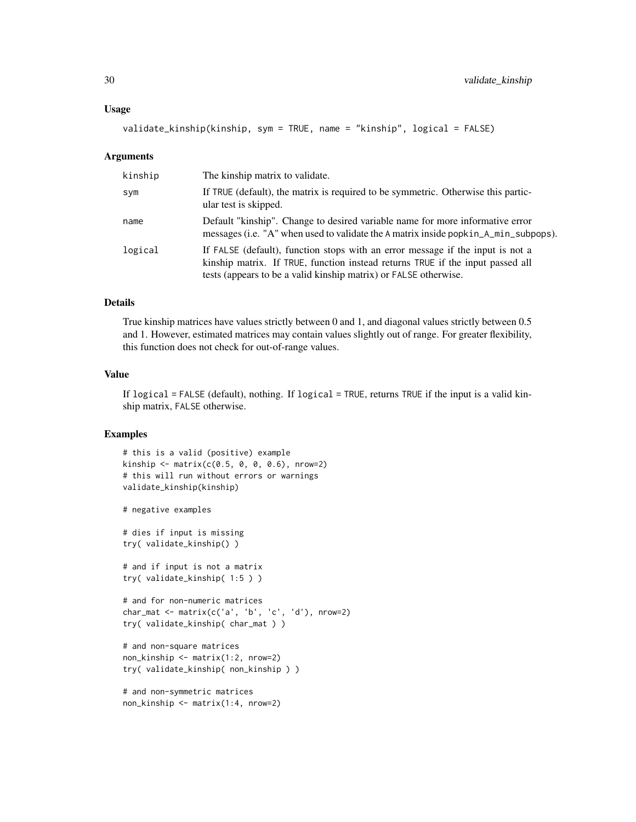```
validate_kinship(kinship, sym = TRUE, name = "kinship", logical = FALSE)
```
#### Arguments

| kinship | The kinship matrix to validate.                                                                                                                                                                                                      |
|---------|--------------------------------------------------------------------------------------------------------------------------------------------------------------------------------------------------------------------------------------|
| sym     | If TRUE (default), the matrix is required to be symmetric. Otherwise this partic-<br>ular test is skipped.                                                                                                                           |
| name    | Default "kinship". Change to desired variable name for more informative error<br>messages (i.e. "A" when used to validate the A matrix inside popkin_A_min_subpops).                                                                 |
| logical | If FALSE (default), function stops with an error message if the input is not a<br>kinship matrix. If TRUE, function instead returns TRUE if the input passed all<br>tests (appears to be a valid kinship matrix) or FALSE otherwise. |

# Details

True kinship matrices have values strictly between 0 and 1, and diagonal values strictly between 0.5 and 1. However, estimated matrices may contain values slightly out of range. For greater flexibility, this function does not check for out-of-range values.

#### Value

If logical = FALSE (default), nothing. If logical = TRUE, returns TRUE if the input is a valid kinship matrix, FALSE otherwise.

# Examples

```
# this is a valid (positive) example
kinship < - matrix(c(0.5, 0, 0, 0.6), nrow=2)# this will run without errors or warnings
validate_kinship(kinship)
# negative examples
```
# dies if input is missing try( validate\_kinship() )

# and if input is not a matrix try( validate\_kinship( 1:5 ) )

```
# and for non-numeric matrices
char_mat <- matrix(c('a', 'b', 'c', 'd'), nrow=2)
try( validate_kinship( char_mat ) )
```

```
# and non-square matrices
non_kinship <- matrix(1:2, nrow=2)
try( validate_kinship( non_kinship ) )
```

```
# and non-symmetric matrices
non_kinship <- matrix(1:4, nrow=2)
```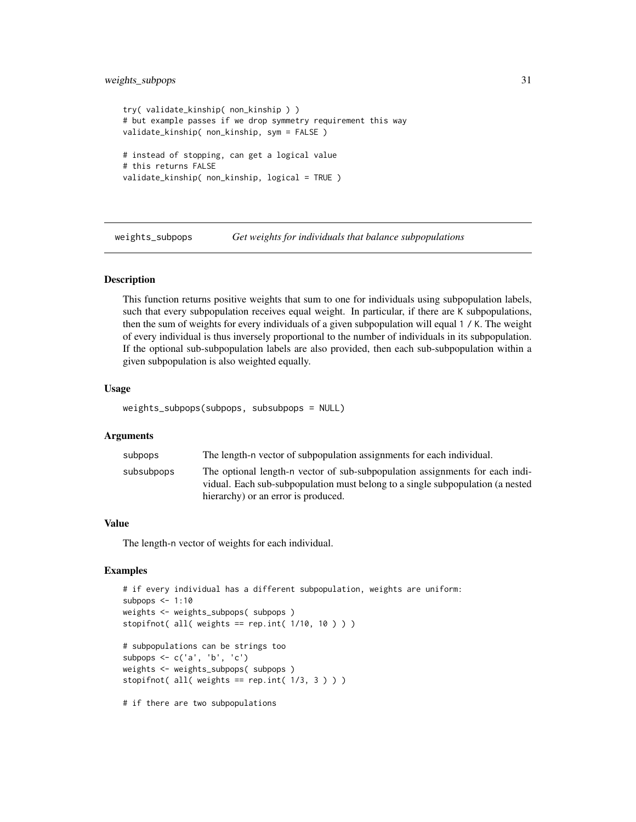# <span id="page-30-0"></span>weights\_subpops 31

```
try( validate_kinship( non_kinship ) )
# but example passes if we drop symmetry requirement this way
validate_kinship( non_kinship, sym = FALSE )
# instead of stopping, can get a logical value
# this returns FALSE
validate_kinship( non_kinship, logical = TRUE )
```
<span id="page-30-1"></span>weights\_subpops *Get weights for individuals that balance subpopulations*

# **Description**

This function returns positive weights that sum to one for individuals using subpopulation labels, such that every subpopulation receives equal weight. In particular, if there are K subpopulations, then the sum of weights for every individuals of a given subpopulation will equal 1 / K. The weight of every individual is thus inversely proportional to the number of individuals in its subpopulation. If the optional sub-subpopulation labels are also provided, then each sub-subpopulation within a given subpopulation is also weighted equally.

# Usage

weights\_subpops(subpops, subsubpops = NULL)

# Arguments

| subpops    | The length-n vector of subpopulation assignments for each individual.          |
|------------|--------------------------------------------------------------------------------|
| subsubpops | The optional length-n vector of sub-subpopulation assignments for each indi-   |
|            | vidual. Each sub-subpopulation must belong to a single subpopulation (a nested |
|            | hierarchy) or an error is produced.                                            |

### Value

The length-n vector of weights for each individual.

# Examples

```
# if every individual has a different subpopulation, weights are uniform:
subpops <-1:10weights <- weights_subpops( subpops )
stopifnot( all( weights == rep.int(1/10, 10)))
# subpopulations can be strings too
subpops \leq c('a', 'b', 'c')weights <- weights_subpops( subpops )
stopifnot( all( weights == rep.int(1/3, 3)))
```
# if there are two subpopulations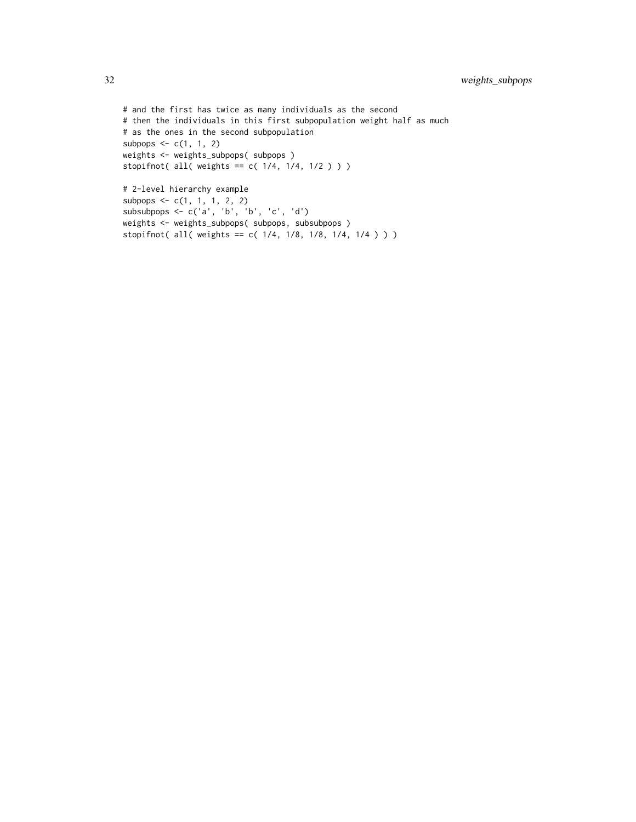```
# and the first has twice as many individuals as the second
# then the individuals in this first subpopulation weight half as much
# as the ones in the second subpopulation
subpops \leq c(1, 1, 2)weights <- weights_subpops( subpops )
stopifnot( all( weights == c( 1/4, 1/4, 1/2 ) ) )
# 2-level hierarchy example
subpops \leq c(1, 1, 1, 2, 2)subsubpops <- c('a', 'b', 'b', 'c', 'd')
weights <- weights_subpops( subpops, subsubpops )
stopifnot( all( weights == c( 1/4, 1/8, 1/8, 1/4, 1/4 ) ) )
```